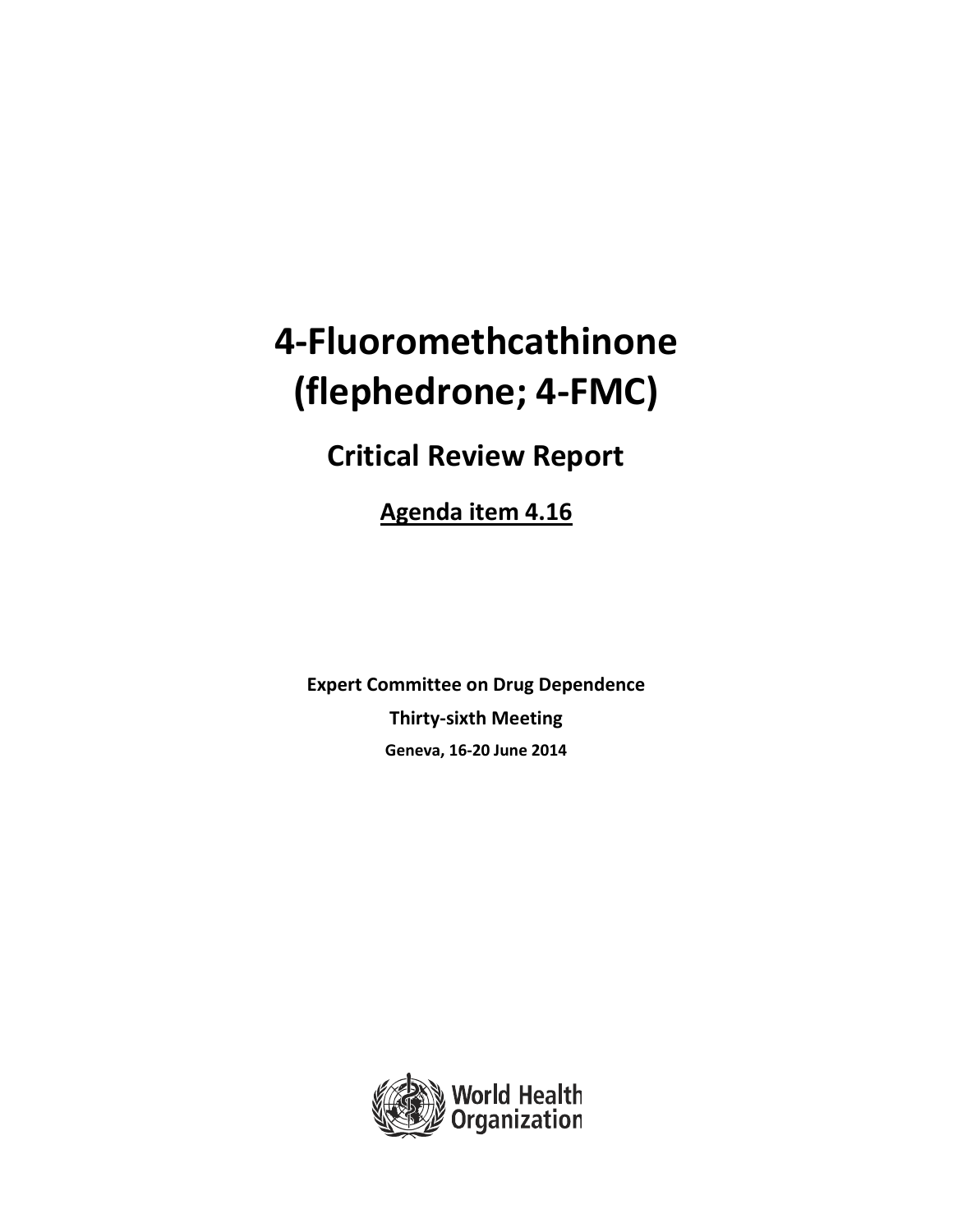# **4‐Fluoromethcathinone (flephedrone; 4‐FMC)**

## **Critical Review Report**

**Agenda item 4.16**

**Expert Committee on Drug Dependence Thirty‐sixth Meeting Geneva, 16‐20 June 2014**

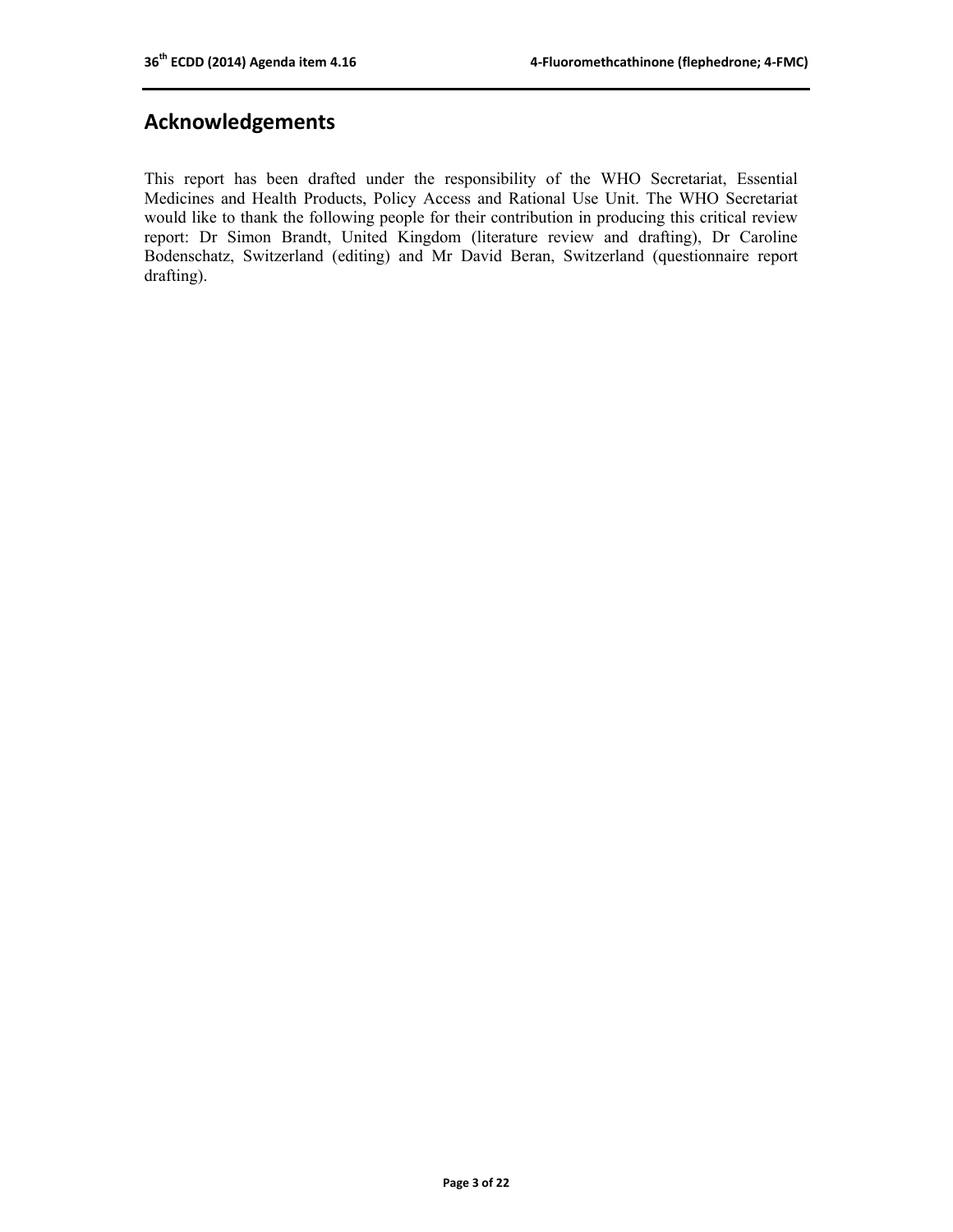## **Acknowledgements**

This report has been drafted under the responsibility of the WHO Secretariat, Essential Medicines and Health Products, Policy Access and Rational Use Unit. The WHO Secretariat would like to thank the following people for their contribution in producing this critical review report: Dr Simon Brandt, United Kingdom (literature review and drafting), Dr Caroline Bodenschatz, Switzerland (editing) and Mr David Beran, Switzerland (questionnaire report drafting).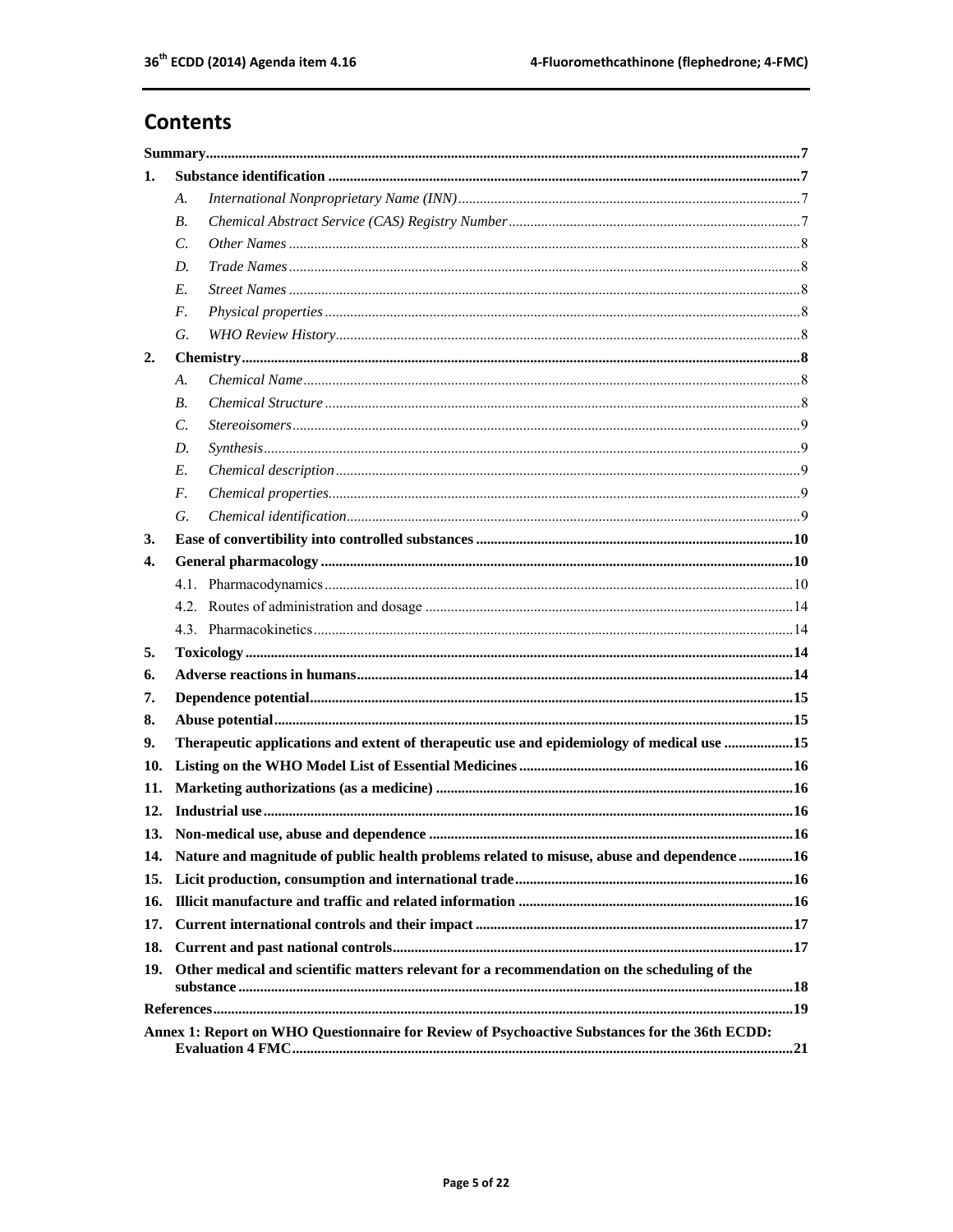## **Contents**

| 1.  |                                                                                                |                                                                                           |  |  |  |  |  |
|-----|------------------------------------------------------------------------------------------------|-------------------------------------------------------------------------------------------|--|--|--|--|--|
|     | А.                                                                                             |                                                                                           |  |  |  |  |  |
|     | В.                                                                                             |                                                                                           |  |  |  |  |  |
|     | $\mathcal{C}$ .                                                                                |                                                                                           |  |  |  |  |  |
|     | D.                                                                                             |                                                                                           |  |  |  |  |  |
|     | E.                                                                                             |                                                                                           |  |  |  |  |  |
|     | $F_{\cdot}$                                                                                    |                                                                                           |  |  |  |  |  |
|     | G.                                                                                             |                                                                                           |  |  |  |  |  |
| 2.  |                                                                                                |                                                                                           |  |  |  |  |  |
|     | А.                                                                                             |                                                                                           |  |  |  |  |  |
|     | <b>B.</b>                                                                                      |                                                                                           |  |  |  |  |  |
|     | $\mathcal{C}$ .                                                                                |                                                                                           |  |  |  |  |  |
|     | D.                                                                                             |                                                                                           |  |  |  |  |  |
|     | E.                                                                                             |                                                                                           |  |  |  |  |  |
|     | F.                                                                                             |                                                                                           |  |  |  |  |  |
|     | G.                                                                                             |                                                                                           |  |  |  |  |  |
| 3.  |                                                                                                |                                                                                           |  |  |  |  |  |
| 4.  |                                                                                                |                                                                                           |  |  |  |  |  |
|     |                                                                                                |                                                                                           |  |  |  |  |  |
|     |                                                                                                |                                                                                           |  |  |  |  |  |
|     |                                                                                                |                                                                                           |  |  |  |  |  |
| 5.  |                                                                                                |                                                                                           |  |  |  |  |  |
| 6.  |                                                                                                |                                                                                           |  |  |  |  |  |
| 7.  |                                                                                                |                                                                                           |  |  |  |  |  |
| 8.  |                                                                                                |                                                                                           |  |  |  |  |  |
| 9.  |                                                                                                | Therapeutic applications and extent of therapeutic use and epidemiology of medical use 15 |  |  |  |  |  |
| 10. |                                                                                                |                                                                                           |  |  |  |  |  |
| 11. |                                                                                                |                                                                                           |  |  |  |  |  |
| 12. |                                                                                                |                                                                                           |  |  |  |  |  |
|     |                                                                                                |                                                                                           |  |  |  |  |  |
|     | 14. Nature and magnitude of public health problems related to misuse, abuse and dependence  16 |                                                                                           |  |  |  |  |  |
| 15. |                                                                                                |                                                                                           |  |  |  |  |  |
| 16. |                                                                                                |                                                                                           |  |  |  |  |  |
| 17. |                                                                                                |                                                                                           |  |  |  |  |  |
| 18. |                                                                                                |                                                                                           |  |  |  |  |  |
| 19. | Other medical and scientific matters relevant for a recommendation on the scheduling of the    |                                                                                           |  |  |  |  |  |
|     |                                                                                                |                                                                                           |  |  |  |  |  |
|     | Annex 1: Report on WHO Questionnaire for Review of Psychoactive Substances for the 36th ECDD:  |                                                                                           |  |  |  |  |  |
|     |                                                                                                |                                                                                           |  |  |  |  |  |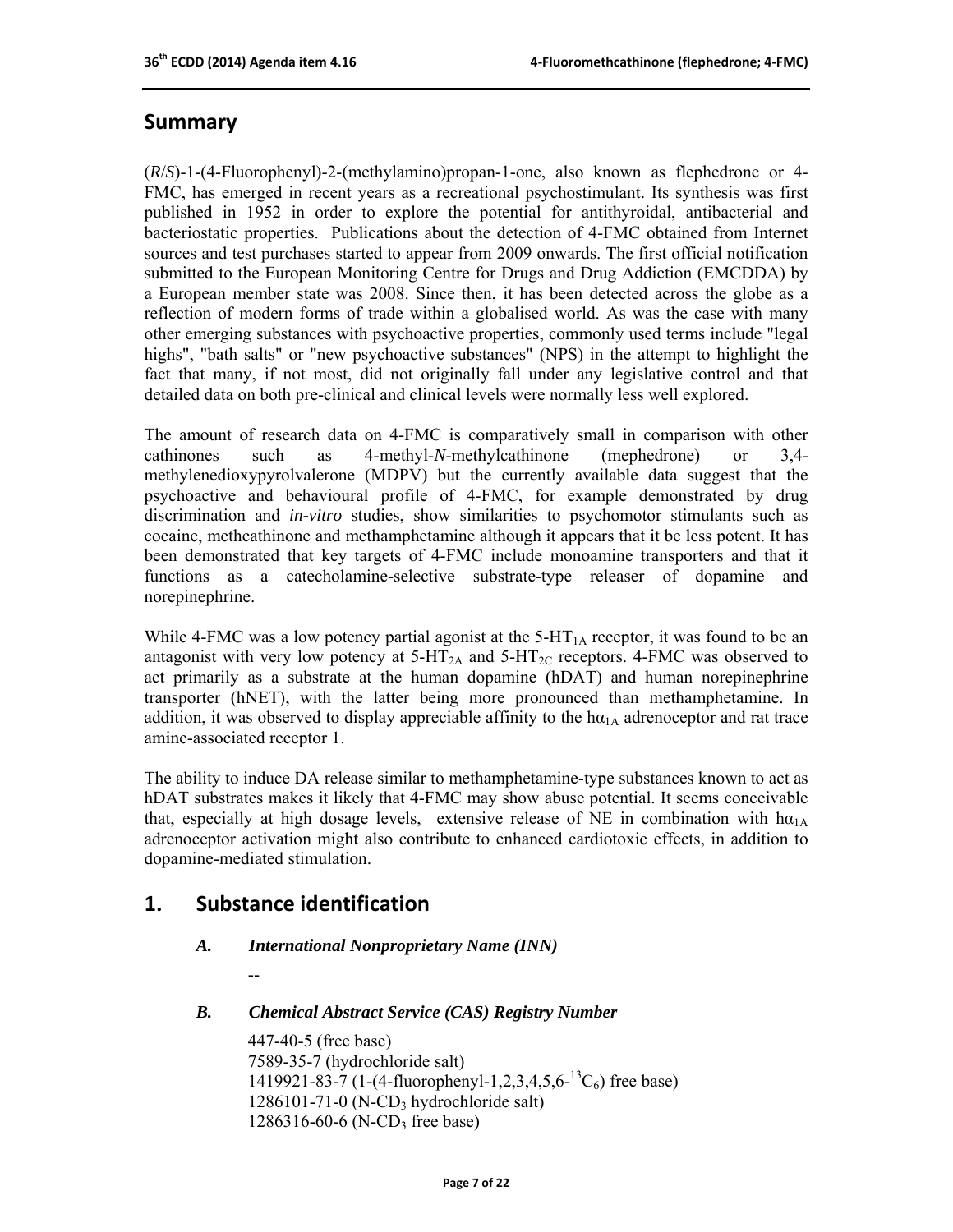## **Summary**

(*R*/*S*)-1-(4-Fluorophenyl)-2-(methylamino)propan-1-one, also known as flephedrone or 4- FMC, has emerged in recent years as a recreational psychostimulant. Its synthesis was first published in 1952 in order to explore the potential for antithyroidal, antibacterial and bacteriostatic properties. Publications about the detection of 4-FMC obtained from Internet sources and test purchases started to appear from 2009 onwards. The first official notification submitted to the European Monitoring Centre for Drugs and Drug Addiction (EMCDDA) by a European member state was 2008. Since then, it has been detected across the globe as a reflection of modern forms of trade within a globalised world. As was the case with many other emerging substances with psychoactive properties, commonly used terms include "legal highs", "bath salts" or "new psychoactive substances" (NPS) in the attempt to highlight the fact that many, if not most, did not originally fall under any legislative control and that detailed data on both pre-clinical and clinical levels were normally less well explored.

The amount of research data on 4-FMC is comparatively small in comparison with other cathinones such as 4-methyl-*N*-methylcathinone (mephedrone) or 3,4 methylenedioxypyrolvalerone (MDPV) but the currently available data suggest that the psychoactive and behavioural profile of 4-FMC, for example demonstrated by drug discrimination and *in-vitro* studies, show similarities to psychomotor stimulants such as cocaine, methcathinone and methamphetamine although it appears that it be less potent. It has been demonstrated that key targets of 4-FMC include monoamine transporters and that it functions as a catecholamine-selective substrate-type releaser of dopamine and norepinephrine.

While 4-FMC was a low potency partial agonist at the  $5$ -HT<sub>1A</sub> receptor, it was found to be an antagonist with very low potency at  $5-HT_{2A}$  and  $5-HT_{2C}$  receptors. 4-FMC was observed to act primarily as a substrate at the human dopamine (hDAT) and human norepinephrine transporter (hNET), with the latter being more pronounced than methamphetamine. In addition, it was observed to display appreciable affinity to the  $h\alpha_{1A}$  adrenoceptor and rat trace amine-associated receptor 1.

The ability to induce DA release similar to methamphetamine-type substances known to act as hDAT substrates makes it likely that 4-FMC may show abuse potential. It seems conceivable that, especially at high dosage levels, extensive release of NE in combination with  $h\alpha_{1A}$ adrenoceptor activation might also contribute to enhanced cardiotoxic effects, in addition to dopamine-mediated stimulation.

## **1. Substance identification**

--

#### *A. International Nonproprietary Name (INN)*

*B. Chemical Abstract Service (CAS) Registry Number* 

 447-40-5 (free base) 7589-35-7 (hydrochloride salt) 1419921-83-7 (1-(4-fluorophenyl-1,2,3,4,5,6-<sup>13</sup>C<sub>6</sub>) free base)  $1286101 - 71 - 0$  (N-CD<sub>3</sub> hydrochloride salt)  $1286316-60-6$  (N-CD<sub>3</sub> free base)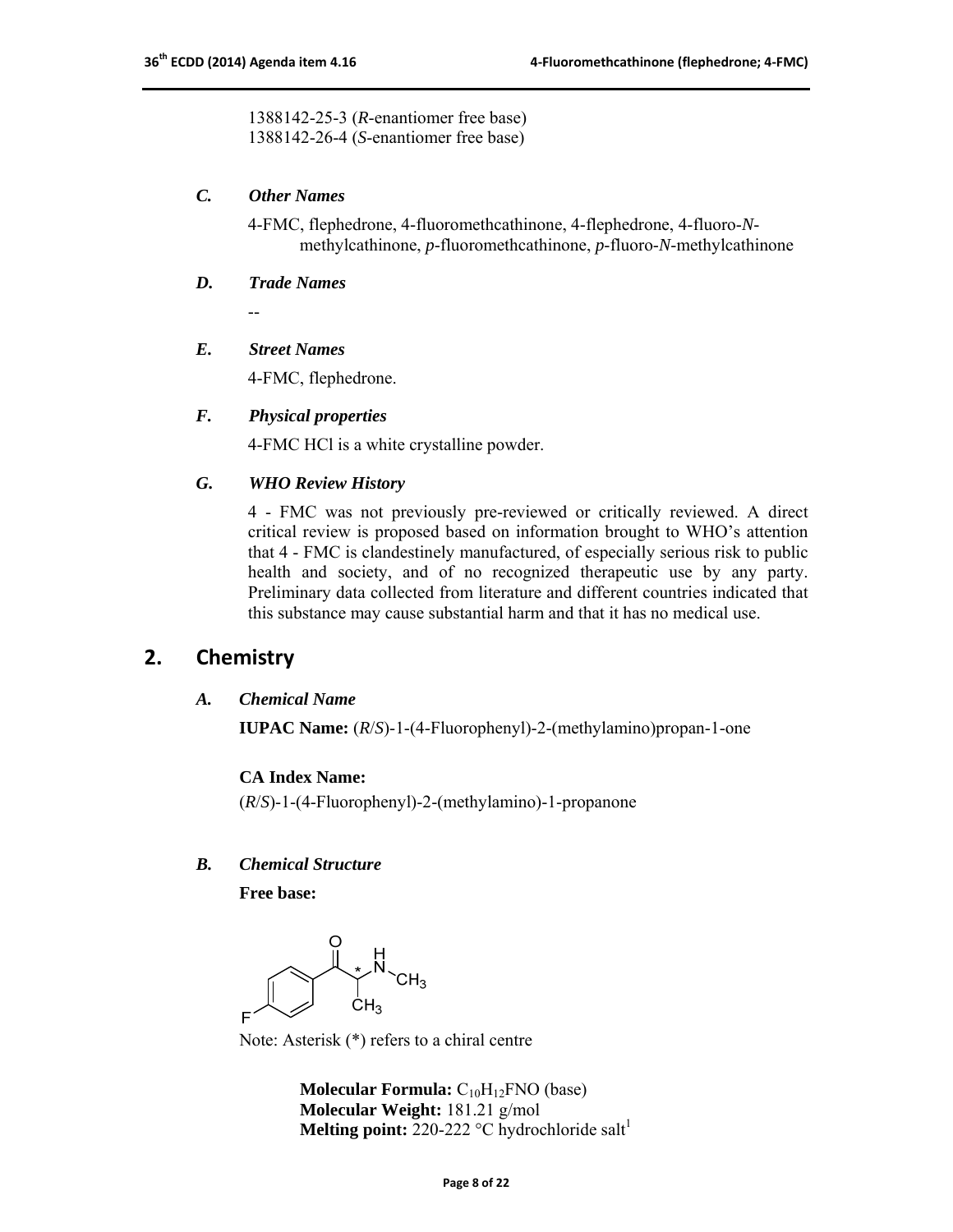1388142-25-3 (*R*-enantiomer free base) 1388142-26-4 (*S*-enantiomer free base)

#### *C. Other Names*

 4-FMC, flephedrone, 4-fluoromethcathinone, 4-flephedrone, 4-fluoro-*N* methylcathinone, *p*-fluoromethcathinone, *p*-fluoro-*N*-methylcathinone

#### *D. Trade Names*

--

#### *E. Street Names*

4-FMC, flephedrone.

#### *F. Physical properties*

4-FMC HCl is a white crystalline powder.

#### *G. WHO Review History*

4 - FMC was not previously pre-reviewed or critically reviewed. A direct critical review is proposed based on information brought to WHO's attention that 4 - FMC is clandestinely manufactured, of especially serious risk to public health and society, and of no recognized therapeutic use by any party. Preliminary data collected from literature and different countries indicated that this substance may cause substantial harm and that it has no medical use.

## **2. Chemistry**

#### *A. Chemical Name*

**IUPAC Name:** (*R*/*S*)-1-(4-Fluorophenyl)-2-(methylamino)propan-1-one

#### **CA Index Name:**

(*R*/*S*)-1-(4-Fluorophenyl)-2-(methylamino)-1-propanone

#### *B. Chemical Structure*

**Free base:**

 $\begin{matrix} H \\ N \\ CH_3 \end{matrix}$ 

Note: Asterisk (\*) refers to a chiral centre

**Molecular Formula:** C<sub>10</sub>H<sub>12</sub>FNO (base) **Molecular Weight:** 181.21 g/mol **Melting point:** 220-222  $^{\circ}$ C hydrochloride salt<sup>1</sup>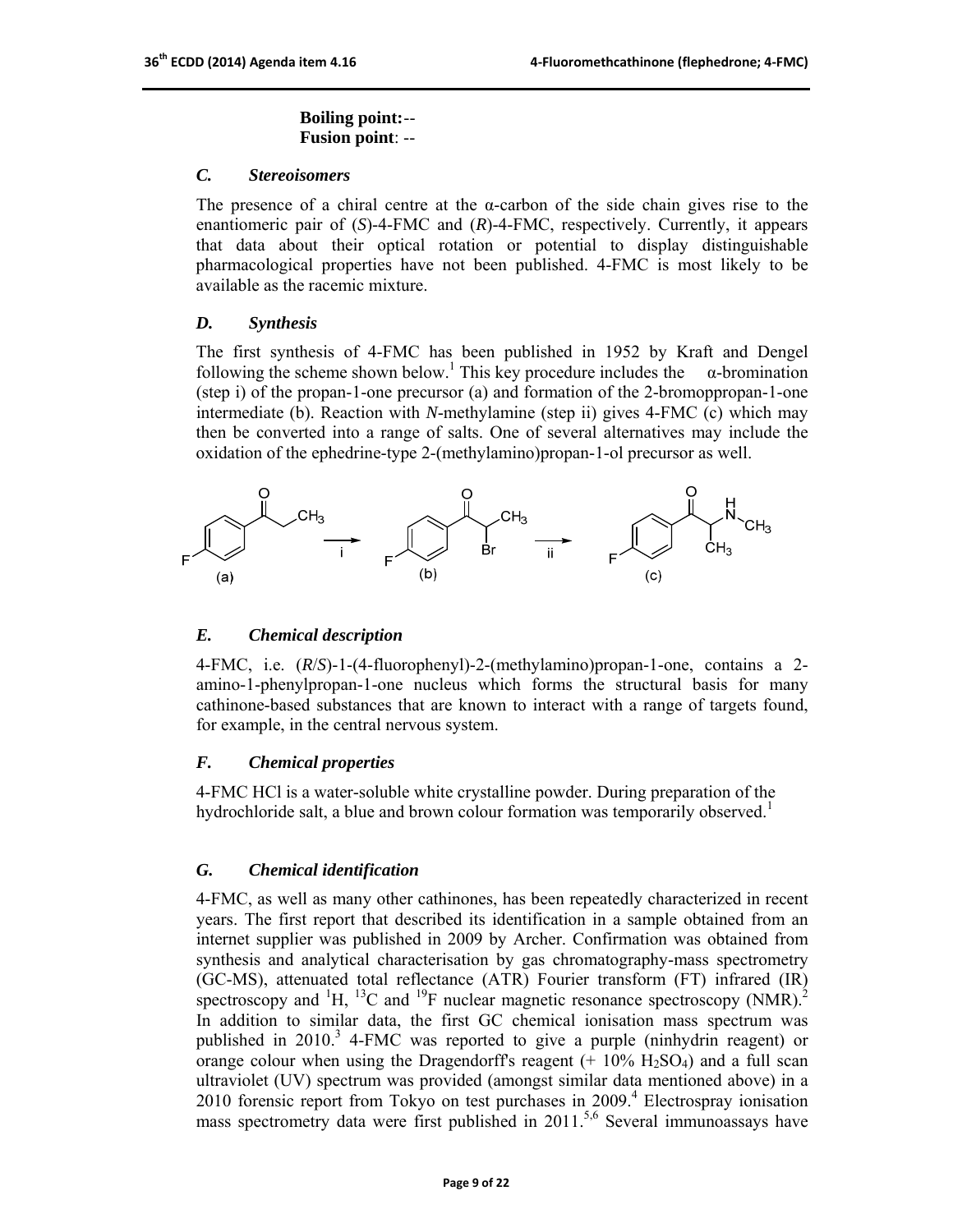#### **Boiling point:** -- **Fusion point**: --

#### *C. Stereoisomers*

The presence of a chiral centre at the  $\alpha$ -carbon of the side chain gives rise to the enantiomeric pair of (*S*)-4-FMC and (*R*)-4-FMC, respectively. Currently, it appears that data about their optical rotation or potential to display distinguishable pharmacological properties have not been published. 4-FMC is most likely to be available as the racemic mixture.

#### *D. Synthesis*

The first synthesis of 4-FMC has been published in 1952 by Kraft and Dengel following the scheme shown below.<sup>1</sup> This key procedure includes the  $\alpha$ -bromination (step i) of the propan-1-one precursor (a) and formation of the 2-bromoppropan-1-one intermediate (b). Reaction with *N*-methylamine (step ii) gives 4-FMC (c) which may then be converted into a range of salts. One of several alternatives may include the oxidation of the ephedrine-type 2-(methylamino)propan-1-ol precursor as well.



#### *E. Chemical description*

4-FMC, i.e. (*R*/*S*)-1-(4-fluorophenyl)-2-(methylamino)propan-1-one, contains a 2 amino-1-phenylpropan-1-one nucleus which forms the structural basis for many cathinone-based substances that are known to interact with a range of targets found, for example, in the central nervous system.

#### *F. Chemical properties*

4-FMC HCl is a water-soluble white crystalline powder. During preparation of the hydrochloride salt, a blue and brown colour formation was temporarily observed.<sup>1</sup>

#### *G. Chemical identification*

4-FMC, as well as many other cathinones, has been repeatedly characterized in recent years. The first report that described its identification in a sample obtained from an internet supplier was published in 2009 by Archer. Confirmation was obtained from synthesis and analytical characterisation by gas chromatography-mass spectrometry (GC-MS), attenuated total reflectance (ATR) Fourier transform (FT) infrared (IR) spectroscopy and  ${}^{1}H$ ,  ${}^{13}C$  and  ${}^{19}F$  nuclear magnetic resonance spectroscopy (NMR).<sup>2</sup> In addition to similar data, the first GC chemical ionisation mass spectrum was published in 2010.<sup>3</sup> 4-FMC was reported to give a purple (ninhydrin reagent) or orange colour when using the Dragendorff's reagent  $(+ 10\% \text{ H}_2\text{SO}_4)$  and a full scan ultraviolet (UV) spectrum was provided (amongst similar data mentioned above) in a 2010 forensic report from Tokyo on test purchases in 2009.<sup>4</sup> Electrospray ionisation mass spectrometry data were first published in 2011.<sup>5,6</sup> Several immunoassays have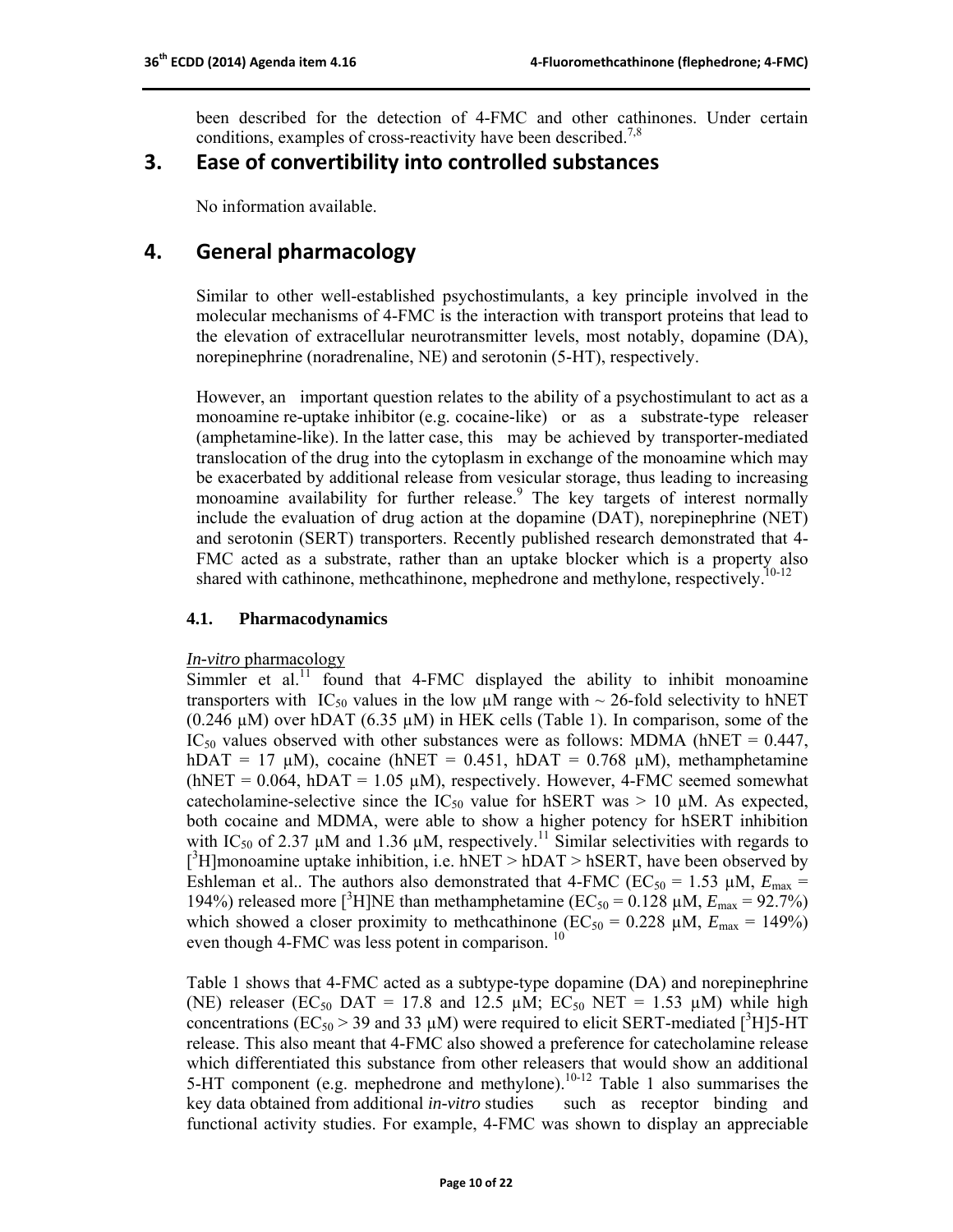been described for the detection of 4-FMC and other cathinones. Under certain conditions, examples of cross-reactivity have been described.<sup>7,8</sup>

## **3. Ease of convertibility into controlled substances**

No information available.

## **4. General pharmacology**

Similar to other well-established psychostimulants, a key principle involved in the molecular mechanisms of 4-FMC is the interaction with transport proteins that lead to the elevation of extracellular neurotransmitter levels, most notably, dopamine (DA), norepinephrine (noradrenaline, NE) and serotonin (5-HT), respectively.

However, an important question relates to the ability of a psychostimulant to act as a monoamine re-uptake inhibitor (e.g. cocaine-like) or as a substrate-type releaser (amphetamine-like). In the latter case, this may be achieved by transporter-mediated translocation of the drug into the cytoplasm in exchange of the monoamine which may be exacerbated by additional release from vesicular storage, thus leading to increasing monoamine availability for further release.<sup>9</sup> The key targets of interest normally include the evaluation of drug action at the dopamine (DAT), norepinephrine (NET) and serotonin (SERT) transporters. Recently published research demonstrated that 4- FMC acted as a substrate, rather than an uptake blocker which is a property also shared with cathinone, methcathinone, mephedrone and methylone, respectively.<sup>10-12</sup>

#### **4.1. Pharmacodynamics**

#### *In-vitro* pharmacology

 $S$ immler et al.<sup>11</sup> found that 4-FMC displayed the ability to inhibit monoamine transporters with IC<sub>50</sub> values in the low  $\mu$ M range with  $\sim$  26-fold selectivity to hNET  $(0.246 \mu M)$  over hDAT  $(6.35 \mu M)$  in HEK cells (Table 1). In comparison, some of the IC<sub>50</sub> values observed with other substances were as follows: MDMA (hNET =  $0.447$ , hDAT = 17  $\mu$ M), cocaine (hNET = 0.451, hDAT = 0.768  $\mu$ M), methamphetamine (hNET =  $0.064$ , hDAT =  $1.05 \mu$ M), respectively. However, 4-FMC seemed somewhat catecholamine-selective since the  $IC_{50}$  value for hSERT was  $> 10 \mu M$ . As expected, both cocaine and MDMA, were able to show a higher potency for hSERT inhibition with IC<sub>50</sub> of 2.37  $\mu$ M and 1.36  $\mu$ M, respectively.<sup>11</sup> Similar selectivities with regards to  $[{}^3H]$ monoamine uptake inhibition, i.e. hNET > hDAT > hSERT, have been observed by Eshleman et al.. The authors also demonstrated that 4-FMC ( $EC_{50} = 1.53 \mu M$ ,  $E_{\text{max}} =$ 194%) released more [<sup>3</sup>H]NE than methamphetamine (EC<sub>50</sub> = 0.128  $\mu$ M,  $E_{\text{max}}$  = 92.7%) which showed a closer proximity to methcathinone ( $EC_{50} = 0.228 \mu M$ ,  $E_{\text{max}} = 149\%$ ) even though 4-FMC was less potent in comparison. <sup>10</sup>

Table 1 shows that 4-FMC acted as a subtype-type dopamine (DA) and norepinephrine (NE) releaser (EC<sub>50</sub> DAT = 17.8 and 12.5  $\mu$ M; EC<sub>50</sub> NET = 1.53  $\mu$ M) while high concentrations ( $EC_{50}$  > 39 and 33  $\mu$ M) were required to elicit SERT-mediated [<sup>3</sup>H]5-HT release. This also meant that 4-FMC also showed a preference for catecholamine release which differentiated this substance from other releasers that would show an additional 5-HT component (e.g. mephedrone and methylone).<sup>10-12</sup> Table 1 also summarises the key data obtained from additional *in-vitro* studies such as receptor binding and functional activity studies. For example, 4-FMC was shown to display an appreciable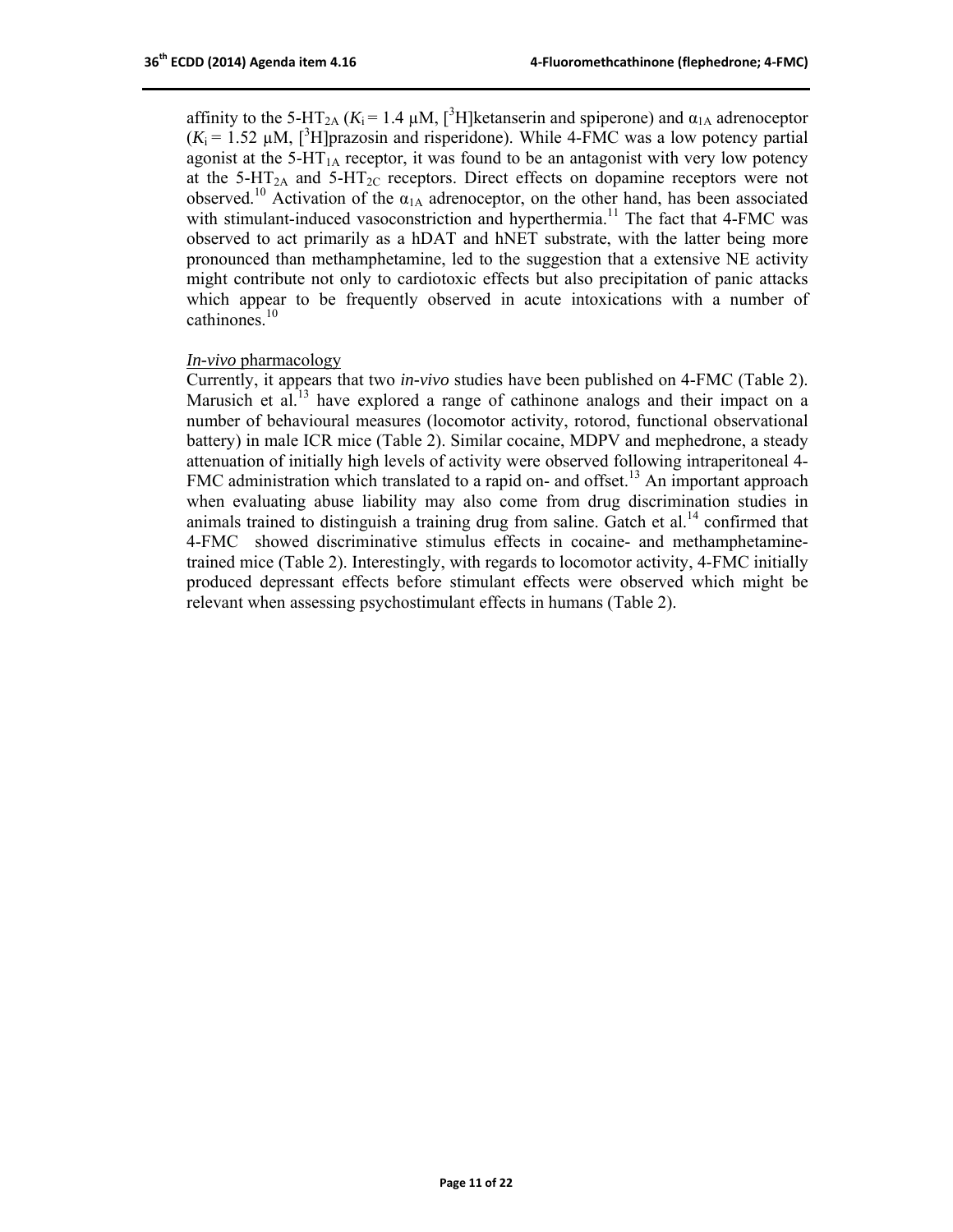affinity to the 5-HT<sub>2A</sub> ( $K_i$  = 1.4  $\mu$ M, [<sup>3</sup>H]ketanserin and spiperone) and  $\alpha_{1A}$  adrenoceptor  $(K_i = 1.52 \mu M,$  [<sup>3</sup>H]prazosin and risperidone). While 4-FMC was a low potency partial agonist at the  $5-\text{HT}_{1\text{A}}$  receptor, it was found to be an antagonist with very low potency at the  $5-\text{HT}_{2A}$  and  $5-\text{HT}_{2C}$  receptors. Direct effects on dopamine receptors were not observed.<sup>10</sup> Activation of the  $\alpha_{1A}$  adrenoceptor, on the other hand, has been associated with stimulant-induced vasoconstriction and hyperthermia.<sup>11</sup> The fact that 4-FMC was observed to act primarily as a hDAT and hNET substrate, with the latter being more pronounced than methamphetamine, led to the suggestion that a extensive NE activity might contribute not only to cardiotoxic effects but also precipitation of panic attacks which appear to be frequently observed in acute intoxications with a number of cathinones $10$ 

#### *In-vivo* pharmacology

Currently, it appears that two *in-vivo* studies have been published on 4-FMC (Table 2). Marusich et al.<sup>13</sup> have explored a range of cathinone analogs and their impact on a number of behavioural measures (locomotor activity, rotorod, functional observational battery) in male ICR mice (Table 2). Similar cocaine, MDPV and mephedrone, a steady attenuation of initially high levels of activity were observed following intraperitoneal 4- FMC administration which translated to a rapid on- and offset.<sup>13</sup> An important approach when evaluating abuse liability may also come from drug discrimination studies in animals trained to distinguish a training drug from saline. Gatch et al.<sup>14</sup> confirmed that 4-FMC showed discriminative stimulus effects in cocaine- and methamphetaminetrained mice (Table 2). Interestingly, with regards to locomotor activity, 4-FMC initially produced depressant effects before stimulant effects were observed which might be relevant when assessing psychostimulant effects in humans (Table 2).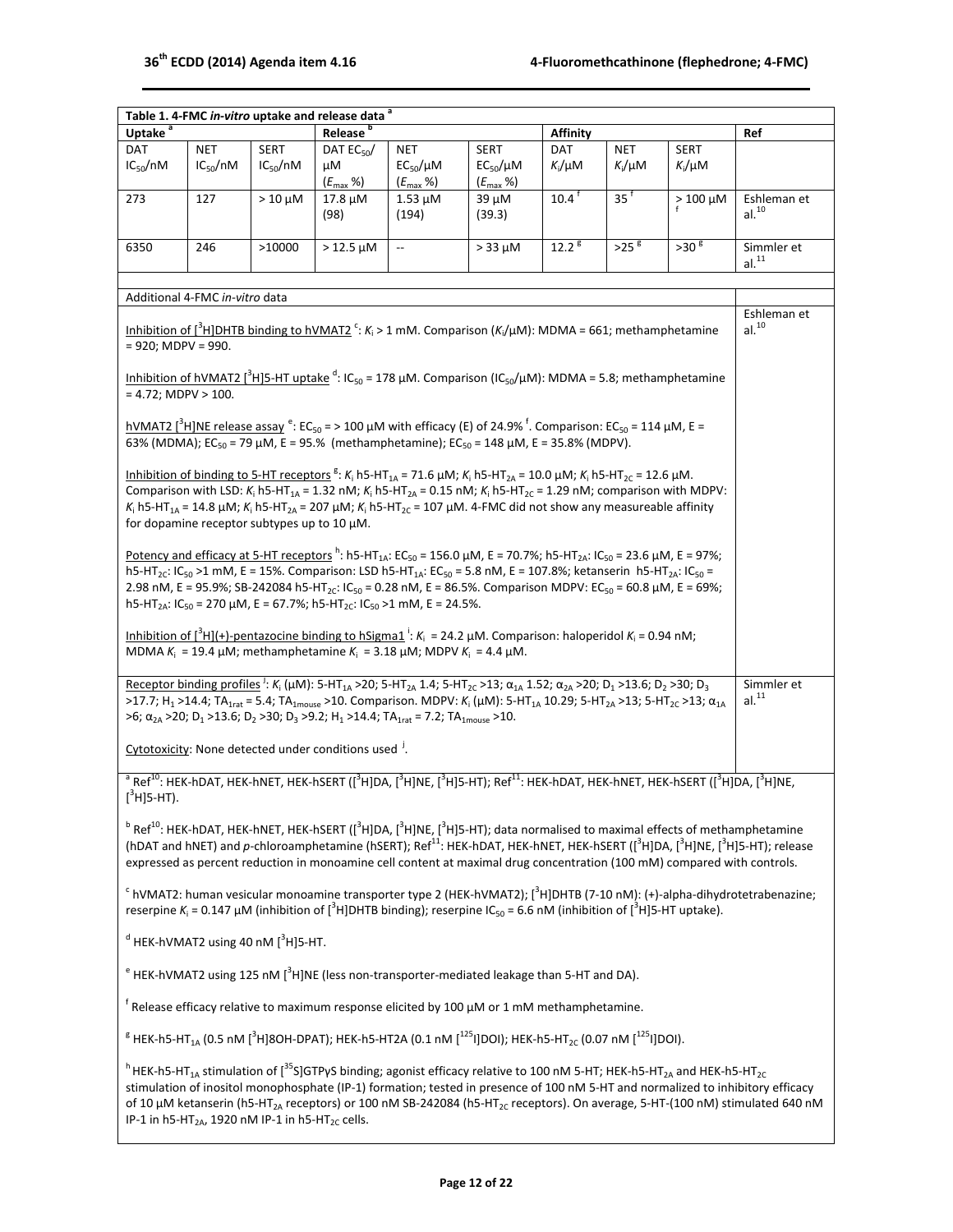$\overline{\phantom{a}}$ 

| Table 1. 4-FMC in-vitro uptake and release data <sup>a</sup>                                                                                                                                                                                                                                                             |                                                                                                                                                                                    |                                             |                                                                  |                                                                                                                                                                                                                                                                                                                                                                                    |                     |                   |                   |                   |                                                                                                                                                                               |  |
|--------------------------------------------------------------------------------------------------------------------------------------------------------------------------------------------------------------------------------------------------------------------------------------------------------------------------|------------------------------------------------------------------------------------------------------------------------------------------------------------------------------------|---------------------------------------------|------------------------------------------------------------------|------------------------------------------------------------------------------------------------------------------------------------------------------------------------------------------------------------------------------------------------------------------------------------------------------------------------------------------------------------------------------------|---------------------|-------------------|-------------------|-------------------|-------------------------------------------------------------------------------------------------------------------------------------------------------------------------------|--|
| Uptake <sup>a</sup>                                                                                                                                                                                                                                                                                                      |                                                                                                                                                                                    |                                             | Release <sup>b</sup>                                             |                                                                                                                                                                                                                                                                                                                                                                                    |                     | Affinity          |                   |                   | Ref                                                                                                                                                                           |  |
| DAT                                                                                                                                                                                                                                                                                                                      | <b>NET</b>                                                                                                                                                                         | <b>SERT</b>                                 | DAT $EC_{50}/$                                                   | <b>NET</b>                                                                                                                                                                                                                                                                                                                                                                         | <b>SERT</b>         | DAT               | NET               | <b>SERT</b>       |                                                                                                                                                                               |  |
| $IC_{50}/nM$                                                                                                                                                                                                                                                                                                             | $IC_{50}/nM$                                                                                                                                                                       | $IC_{50}/nM$                                | μM                                                               | $EC_{50}/\mu M$                                                                                                                                                                                                                                                                                                                                                                    | $EC_{50}/\mu M$     | $K_i/\mu$ M       | $K_i/\mu M$       | $K_i/\mu$ M       |                                                                                                                                                                               |  |
|                                                                                                                                                                                                                                                                                                                          |                                                                                                                                                                                    |                                             | $(E_{\text{max}} %$ %)                                           | $(E_{\text{max}} %$ %)                                                                                                                                                                                                                                                                                                                                                             | $(E_{\text{max}} %$ |                   |                   |                   |                                                                                                                                                                               |  |
| 273                                                                                                                                                                                                                                                                                                                      | 127                                                                                                                                                                                | $>10 \mu M$                                 | $17.8 \mu M$                                                     | $1.53 \mu M$                                                                                                                                                                                                                                                                                                                                                                       | 39 µM               | $10.4^{\dagger}$  | $35^{\mathrm{t}}$ | $>100~\mu{\rm M}$ | Eshleman et                                                                                                                                                                   |  |
|                                                                                                                                                                                                                                                                                                                          |                                                                                                                                                                                    |                                             | (98)                                                             | (194)                                                                                                                                                                                                                                                                                                                                                                              | (39.3)              |                   |                   |                   | al. <sup>10</sup>                                                                                                                                                             |  |
|                                                                                                                                                                                                                                                                                                                          |                                                                                                                                                                                    |                                             |                                                                  |                                                                                                                                                                                                                                                                                                                                                                                    |                     | 12.2 <sup>8</sup> | $>25$ $^8$        | >30 <sup>g</sup>  |                                                                                                                                                                               |  |
| 6350                                                                                                                                                                                                                                                                                                                     | 246                                                                                                                                                                                | >10000                                      | $> 12.5 \mu M$                                                   | $\overline{\phantom{a}}$                                                                                                                                                                                                                                                                                                                                                           | $> 33 \mu M$        |                   |                   |                   | Simmler et<br>al. <sup>11</sup>                                                                                                                                               |  |
|                                                                                                                                                                                                                                                                                                                          |                                                                                                                                                                                    |                                             |                                                                  |                                                                                                                                                                                                                                                                                                                                                                                    |                     |                   |                   |                   |                                                                                                                                                                               |  |
|                                                                                                                                                                                                                                                                                                                          | Additional 4-FMC in-vitro data                                                                                                                                                     |                                             |                                                                  |                                                                                                                                                                                                                                                                                                                                                                                    |                     |                   |                   |                   |                                                                                                                                                                               |  |
|                                                                                                                                                                                                                                                                                                                          | Eshleman et                                                                                                                                                                        |                                             |                                                                  |                                                                                                                                                                                                                                                                                                                                                                                    |                     |                   |                   |                   |                                                                                                                                                                               |  |
|                                                                                                                                                                                                                                                                                                                          |                                                                                                                                                                                    |                                             |                                                                  | Inhibition of [ <sup>3</sup> H]DHTB binding to hVMAT2 <sup>c</sup> : K <sub>i</sub> > 1 mM. Comparison (K <sub>i</sub> /µM): MDMA = 661; methamphetamine                                                                                                                                                                                                                           |                     |                   |                   |                   | al. <sup>10</sup>                                                                                                                                                             |  |
| $= 920$ ; MDPV = 990.                                                                                                                                                                                                                                                                                                    |                                                                                                                                                                                    |                                             |                                                                  |                                                                                                                                                                                                                                                                                                                                                                                    |                     |                   |                   |                   |                                                                                                                                                                               |  |
|                                                                                                                                                                                                                                                                                                                          |                                                                                                                                                                                    |                                             |                                                                  |                                                                                                                                                                                                                                                                                                                                                                                    |                     |                   |                   |                   |                                                                                                                                                                               |  |
|                                                                                                                                                                                                                                                                                                                          |                                                                                                                                                                                    |                                             |                                                                  | <u>Inhibition of hVMAT2 [<sup>3</sup>H]5-HT uptake</u> <sup>d</sup> : IC <sub>50</sub> = 178 μM. Comparison (IC <sub>50</sub> /μM): MDMA = 5.8; methamphetamine                                                                                                                                                                                                                    |                     |                   |                   |                   |                                                                                                                                                                               |  |
| $= 4.72$ ; MDPV > 100.                                                                                                                                                                                                                                                                                                   |                                                                                                                                                                                    |                                             |                                                                  |                                                                                                                                                                                                                                                                                                                                                                                    |                     |                   |                   |                   |                                                                                                                                                                               |  |
|                                                                                                                                                                                                                                                                                                                          |                                                                                                                                                                                    |                                             |                                                                  | hVMAT2 [ <sup>3</sup> H]NE release assay <sup>e</sup> : EC <sub>50</sub> = > 100 µM with efficacy (E) of 24.9% <sup>f</sup> . Comparison: EC <sub>50</sub> = 114 µM, E =                                                                                                                                                                                                           |                     |                   |                   |                   |                                                                                                                                                                               |  |
|                                                                                                                                                                                                                                                                                                                          |                                                                                                                                                                                    |                                             |                                                                  | 63% (MDMA); EC <sub>50</sub> = 79 µM, E = 95.% (methamphetamine); EC <sub>50</sub> = 148 µM, E = 35.8% (MDPV).                                                                                                                                                                                                                                                                     |                     |                   |                   |                   |                                                                                                                                                                               |  |
|                                                                                                                                                                                                                                                                                                                          |                                                                                                                                                                                    |                                             |                                                                  |                                                                                                                                                                                                                                                                                                                                                                                    |                     |                   |                   |                   |                                                                                                                                                                               |  |
|                                                                                                                                                                                                                                                                                                                          |                                                                                                                                                                                    |                                             |                                                                  | Inhibition of binding to 5-HT receptors <sup>g</sup> : $K_i$ h5-HT <sub>1A</sub> = 71.6 µM; $K_i$ h5-HT <sub>2A</sub> = 10.0 µM; $K_i$ h5-HT <sub>2C</sub> = 12.6 µM.                                                                                                                                                                                                              |                     |                   |                   |                   |                                                                                                                                                                               |  |
|                                                                                                                                                                                                                                                                                                                          |                                                                                                                                                                                    |                                             |                                                                  | Comparison with LSD: K <sub>i</sub> h5-HT <sub>1A</sub> = 1.32 nM; K <sub>i</sub> h5-HT <sub>2A</sub> = 0.15 nM; K <sub>i</sub> h5-HT <sub>2C</sub> = 1.29 nM; comparison with MDPV:                                                                                                                                                                                               |                     |                   |                   |                   |                                                                                                                                                                               |  |
|                                                                                                                                                                                                                                                                                                                          |                                                                                                                                                                                    |                                             |                                                                  | $K_i$ h5-HT <sub>1A</sub> = 14.8 µM; $K_i$ h5-HT <sub>2A</sub> = 207 µM; $K_i$ h5-HT <sub>2C</sub> = 107 µM. 4-FMC did not show any measureable affinity                                                                                                                                                                                                                           |                     |                   |                   |                   |                                                                                                                                                                               |  |
|                                                                                                                                                                                                                                                                                                                          |                                                                                                                                                                                    | for dopamine receptor subtypes up to 10 µM. |                                                                  |                                                                                                                                                                                                                                                                                                                                                                                    |                     |                   |                   |                   |                                                                                                                                                                               |  |
|                                                                                                                                                                                                                                                                                                                          |                                                                                                                                                                                    |                                             |                                                                  | Potency and efficacy at 5-HT receptors <sup>h</sup> : h5-HT <sub>1A</sub> : EC <sub>50</sub> = 156.0 µM, E = 70.7%; h5-HT <sub>2A</sub> : IC <sub>50</sub> = 23.6 µM, E = 97%;                                                                                                                                                                                                     |                     |                   |                   |                   |                                                                                                                                                                               |  |
|                                                                                                                                                                                                                                                                                                                          |                                                                                                                                                                                    |                                             |                                                                  | h5-HT <sub>2C</sub> : IC <sub>50</sub> >1 mM, E = 15%. Comparison: LSD h5-HT <sub>1A</sub> : EC <sub>50</sub> = 5.8 nM, E = 107.8%; ketanserin h5-HT <sub>2A</sub> : IC <sub>50</sub> =                                                                                                                                                                                            |                     |                   |                   |                   |                                                                                                                                                                               |  |
|                                                                                                                                                                                                                                                                                                                          |                                                                                                                                                                                    |                                             |                                                                  | 2.98 nM, E = 95.9%; SB-242084 h5-HT <sub>2C</sub> : IC <sub>50</sub> = 0.28 nM, E = 86.5%. Comparison MDPV: EC <sub>50</sub> = 60.8 µM, E = 69%;                                                                                                                                                                                                                                   |                     |                   |                   |                   |                                                                                                                                                                               |  |
|                                                                                                                                                                                                                                                                                                                          |                                                                                                                                                                                    |                                             |                                                                  | h5-HT <sub>2A</sub> : IC <sub>50</sub> = 270 µM, E = 67.7%; h5-HT <sub>2C</sub> : IC <sub>50</sub> >1 mM, E = 24.5%.                                                                                                                                                                                                                                                               |                     |                   |                   |                   |                                                                                                                                                                               |  |
|                                                                                                                                                                                                                                                                                                                          |                                                                                                                                                                                    |                                             |                                                                  |                                                                                                                                                                                                                                                                                                                                                                                    |                     |                   |                   |                   |                                                                                                                                                                               |  |
|                                                                                                                                                                                                                                                                                                                          |                                                                                                                                                                                    |                                             |                                                                  | Inhibition of $\int_0^3 H[(+)-$ pentazocine binding to hSigma1 <sup>1</sup> : $K_i = 24.2 \mu M$ . Comparison: haloperidol $K_i = 0.94 \text{ nM}$ ;                                                                                                                                                                                                                               |                     |                   |                   |                   |                                                                                                                                                                               |  |
|                                                                                                                                                                                                                                                                                                                          |                                                                                                                                                                                    |                                             |                                                                  | MDMA $K_i = 19.4 \mu M$ ; methamphetamine $K_i = 3.18 \mu M$ ; MDPV $K_i = 4.4 \mu M$ .                                                                                                                                                                                                                                                                                            |                     |                   |                   |                   |                                                                                                                                                                               |  |
|                                                                                                                                                                                                                                                                                                                          |                                                                                                                                                                                    |                                             |                                                                  |                                                                                                                                                                                                                                                                                                                                                                                    |                     |                   |                   |                   |                                                                                                                                                                               |  |
|                                                                                                                                                                                                                                                                                                                          |                                                                                                                                                                                    |                                             |                                                                  | <u>Receptor binding profiles</u> <sup>j</sup> : $K_i (\mu M)$ : 5-HT <sub>1A</sub> >20; 5-HT <sub>2A</sub> 1.4; 5-HT <sub>2C</sub> >13; $\alpha_{1A}$ 1.52; $\alpha_{2A}$ >20; D <sub>1</sub> >13.6; D <sub>2</sub> >30; D <sub>3</sub>                                                                                                                                            |                     |                   |                   |                   | Simmler et<br>al. <sup>11</sup>                                                                                                                                               |  |
|                                                                                                                                                                                                                                                                                                                          |                                                                                                                                                                                    |                                             |                                                                  | >17.7; H <sub>1</sub> >14.4; TA <sub>1rat</sub> = 5.4; TA <sub>1mouse</sub> >10. Comparison. MDPV: K <sub>i</sub> (µM): 5-HT <sub>1A</sub> 10.29; 5-HT <sub>2A</sub> >13; 5-HT <sub>2C</sub> >13; $\alpha_{1A}$<br>>6; $\alpha_{2A}$ >20; D <sub>1</sub> >13.6; D <sub>2</sub> >30; D <sub>3</sub> >9.2; H <sub>1</sub> >14.4; TA <sub>1rat</sub> = 7.2; TA <sub>1mouse</sub> >10. |                     |                   |                   |                   |                                                                                                                                                                               |  |
|                                                                                                                                                                                                                                                                                                                          |                                                                                                                                                                                    |                                             |                                                                  |                                                                                                                                                                                                                                                                                                                                                                                    |                     |                   |                   |                   |                                                                                                                                                                               |  |
|                                                                                                                                                                                                                                                                                                                          |                                                                                                                                                                                    |                                             | Cytotoxicity: None detected under conditions used <sup>j</sup> . |                                                                                                                                                                                                                                                                                                                                                                                    |                     |                   |                   |                   |                                                                                                                                                                               |  |
|                                                                                                                                                                                                                                                                                                                          |                                                                                                                                                                                    |                                             |                                                                  |                                                                                                                                                                                                                                                                                                                                                                                    |                     |                   |                   |                   |                                                                                                                                                                               |  |
|                                                                                                                                                                                                                                                                                                                          |                                                                                                                                                                                    |                                             |                                                                  | $^{\rm a}$ Ref $^{\rm 10}$ : HEK-hDAT, HEK-hNET, HEK-hSERT ([ $^{\rm 3}$ H]DA, [ $^{\rm 3}$ H]NE, [ $^{\rm 3}$ H]S-HT); Ref $^{\rm 11}$ : HEK-hDAT, HEK-hNET, HEK-hSERT ([ $^{\rm 3}$ H]NE, [ $^{\rm 3}$ H]NE,                                                                                                                                                                     |                     |                   |                   |                   |                                                                                                                                                                               |  |
| $[^3$ H]5-HT).                                                                                                                                                                                                                                                                                                           |                                                                                                                                                                                    |                                             |                                                                  |                                                                                                                                                                                                                                                                                                                                                                                    |                     |                   |                   |                   |                                                                                                                                                                               |  |
|                                                                                                                                                                                                                                                                                                                          |                                                                                                                                                                                    |                                             |                                                                  | $B$ Ref <sup>10</sup> : HEK-hDAT, HEK-hNET, HEK-hSERT ([ <sup>3</sup> H]DA, [ <sup>3</sup> H]NE, [ <sup>3</sup> H]5-HT); data normalised to maximal effects of methamphetamine                                                                                                                                                                                                     |                     |                   |                   |                   |                                                                                                                                                                               |  |
|                                                                                                                                                                                                                                                                                                                          |                                                                                                                                                                                    |                                             |                                                                  |                                                                                                                                                                                                                                                                                                                                                                                    |                     |                   |                   |                   | (hDAT and hNET) and p-chloroamphetamine (hSERT); Ref <sup>11</sup> : HEK-hDAT, HEK-hNET, HEK-hSERT ([ <sup>3</sup> H]DA, [ <sup>3</sup> H]NE, [ <sup>3</sup> H]5-HT); release |  |
|                                                                                                                                                                                                                                                                                                                          |                                                                                                                                                                                    |                                             |                                                                  | expressed as percent reduction in monoamine cell content at maximal drug concentration (100 mM) compared with controls.                                                                                                                                                                                                                                                            |                     |                   |                   |                   |                                                                                                                                                                               |  |
|                                                                                                                                                                                                                                                                                                                          |                                                                                                                                                                                    |                                             |                                                                  |                                                                                                                                                                                                                                                                                                                                                                                    |                     |                   |                   |                   |                                                                                                                                                                               |  |
|                                                                                                                                                                                                                                                                                                                          |                                                                                                                                                                                    |                                             |                                                                  |                                                                                                                                                                                                                                                                                                                                                                                    |                     |                   |                   |                   |                                                                                                                                                                               |  |
| $\textsuperscript{c}$ hVMAT2: human vesicular monoamine transporter type 2 (HEK-hVMAT2); [ <sup>3</sup> H]DHTB (7-10 nM): (+)-alpha-dihydrotetrabenazine;<br>reserpine $K_i$ = 0.147 µM (inhibition of [ <sup>3</sup> H]DHTB binding); reserpine IC <sub>50</sub> = 6.6 nM (inhibition of [ <sup>3</sup> H]5-HT uptake). |                                                                                                                                                                                    |                                             |                                                                  |                                                                                                                                                                                                                                                                                                                                                                                    |                     |                   |                   |                   |                                                                                                                                                                               |  |
|                                                                                                                                                                                                                                                                                                                          |                                                                                                                                                                                    |                                             |                                                                  |                                                                                                                                                                                                                                                                                                                                                                                    |                     |                   |                   |                   |                                                                                                                                                                               |  |
| $d$ HEK-hVMAT2 using 40 nM $\int_0^3 H$ ]5-HT.                                                                                                                                                                                                                                                                           |                                                                                                                                                                                    |                                             |                                                                  |                                                                                                                                                                                                                                                                                                                                                                                    |                     |                   |                   |                   |                                                                                                                                                                               |  |
| $e^e$ HEK-hVMAT2 using 125 nM $[3$ H]NE (less non-transporter-mediated leakage than 5-HT and DA).                                                                                                                                                                                                                        |                                                                                                                                                                                    |                                             |                                                                  |                                                                                                                                                                                                                                                                                                                                                                                    |                     |                   |                   |                   |                                                                                                                                                                               |  |
|                                                                                                                                                                                                                                                                                                                          |                                                                                                                                                                                    |                                             |                                                                  |                                                                                                                                                                                                                                                                                                                                                                                    |                     |                   |                   |                   |                                                                                                                                                                               |  |
| $^{\dagger}$ Release efficacy relative to maximum response elicited by 100 $\mu$ M or 1 mM methamphetamine.                                                                                                                                                                                                              |                                                                                                                                                                                    |                                             |                                                                  |                                                                                                                                                                                                                                                                                                                                                                                    |                     |                   |                   |                   |                                                                                                                                                                               |  |
| ${}^{8}$ HEK-h5-HT <sub>1A</sub> (0.5 nM [ <sup>3</sup> H]8OH-DPAT); HEK-h5-HT2A (0.1 nM [ <sup>125</sup> I]DOI); HEK-h5-HT <sub>2C</sub> (0.07 nM [ <sup>125</sup> I]DOI).                                                                                                                                              |                                                                                                                                                                                    |                                             |                                                                  |                                                                                                                                                                                                                                                                                                                                                                                    |                     |                   |                   |                   |                                                                                                                                                                               |  |
|                                                                                                                                                                                                                                                                                                                          | <sup>h</sup> HEK-h5-HT <sub>1A</sub> stimulation of [ <sup>35</sup> S]GTPyS binding; agonist efficacy relative to 100 nM 5-HT; HEK-h5-HT <sub>2A</sub> and HEK-h5-HT <sub>2C</sub> |                                             |                                                                  |                                                                                                                                                                                                                                                                                                                                                                                    |                     |                   |                   |                   |                                                                                                                                                                               |  |
|                                                                                                                                                                                                                                                                                                                          |                                                                                                                                                                                    |                                             |                                                                  |                                                                                                                                                                                                                                                                                                                                                                                    |                     |                   |                   |                   | stimulation of inositol monophosphate (IP-1) formation; tested in presence of 100 nM 5-HT and normalized to inhibitory efficacy                                               |  |
|                                                                                                                                                                                                                                                                                                                          |                                                                                                                                                                                    |                                             |                                                                  |                                                                                                                                                                                                                                                                                                                                                                                    |                     |                   |                   |                   | of 10 $\mu$ M ketanserin (h5-HT <sub>2A</sub> receptors) or 100 nM SB-242084 (h5-HT <sub>2C</sub> receptors). On average, 5-HT-(100 nM) stimulated 640 nM                     |  |
|                                                                                                                                                                                                                                                                                                                          |                                                                                                                                                                                    |                                             |                                                                  |                                                                                                                                                                                                                                                                                                                                                                                    |                     |                   |                   |                   |                                                                                                                                                                               |  |
|                                                                                                                                                                                                                                                                                                                          | IP-1 in h5-HT <sub>2A</sub> , 1920 nM IP-1 in h5-HT <sub>2C</sub> cells.                                                                                                           |                                             |                                                                  |                                                                                                                                                                                                                                                                                                                                                                                    |                     |                   |                   |                   |                                                                                                                                                                               |  |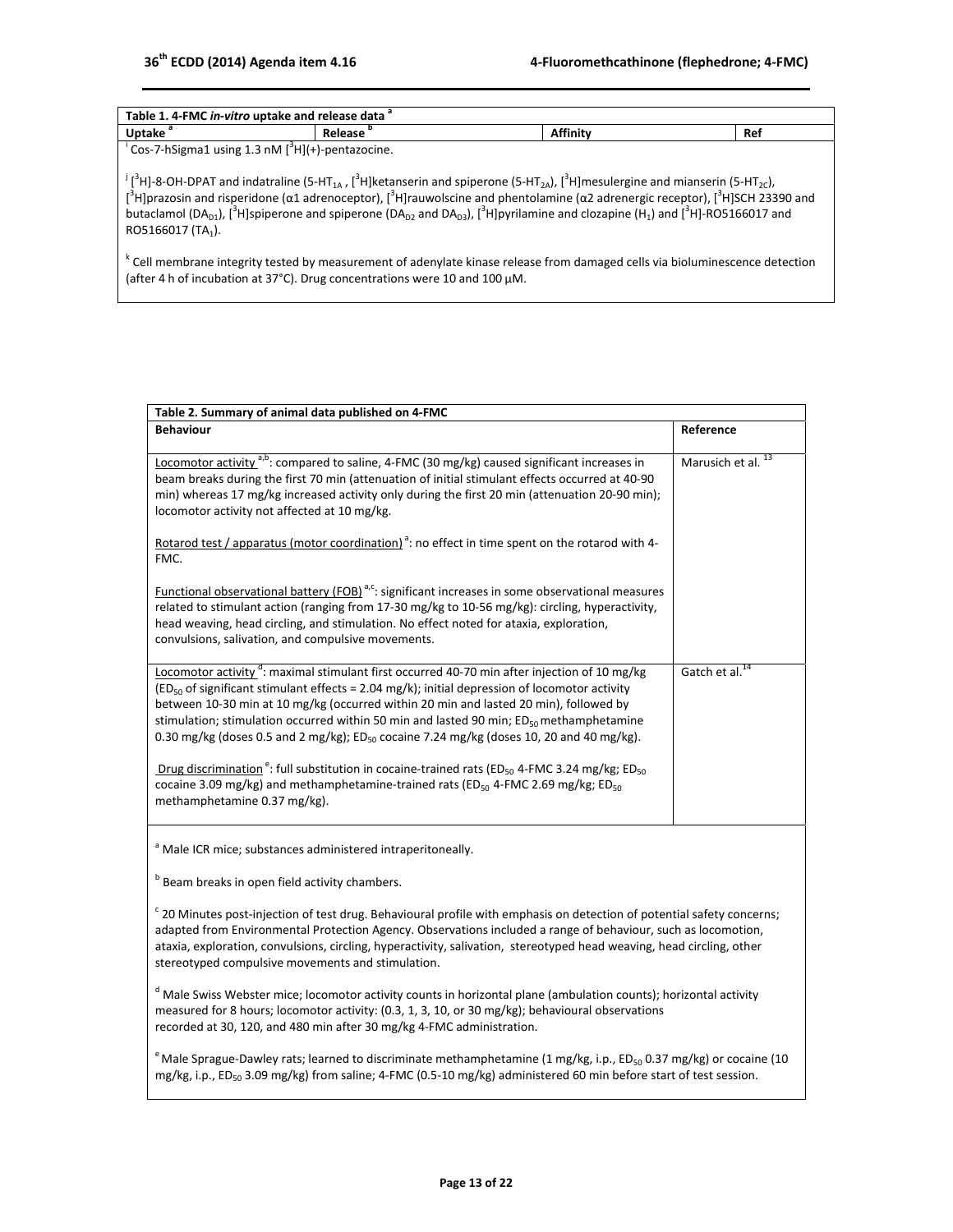| Table 1. 4-FMC in-vitro uptake and release data <sup>a</sup>  |         |          |     |  |  |  |
|---------------------------------------------------------------|---------|----------|-----|--|--|--|
| Uptake <sup>'</sup>                                           | Release | Affinity | Ref |  |  |  |
| 'Cos-7-hSigma1 using 1.3 nM [ <sup>3</sup> H](+)-pentazocine. |         |          |     |  |  |  |

 $^{j}$ [<sup>3</sup>H]-8-OH-DPAT and indatraline (5-HT<sub>1A</sub>, [<sup>3</sup>H]ketanserin and spiperone (5-HT<sub>2A</sub>), [<sup>3</sup>H]mesulergine and mianserin (5-HT<sub>2C</sub>),  $[3$ H]prazosin and risperidone (α1 adrenoceptor), [ $3$ H]rauwolscine and phentolamine (α2 adrenergic receptor), [ $3$ H]SCH 23390 and butaclamol (DA<sub>D1</sub>), [<sup>3</sup>H]spiperone and spiperone (DA<sub>D2</sub> and DA<sub>D3</sub>), [<sup>3</sup>H]pyrilamine and clozapine (H<sub>1</sub>) and [<sup>3</sup>H]-RO5166017 and RO5166017 (TA<sub>1</sub>).

<sup>k</sup> Cell membrane integrity tested by measurement of adenylate kinase release from damaged cells via bioluminescence detection (after 4 h of incubation at 37°C). Drug concentrations were 10 and 100 μM.

| Table 2. Summary of animal data published on 4-FMC                                                                                                                                                                                                                                                                                                                                                                                                                                                                                                                                                                                                                                                                                                             |                               |  |  |  |
|----------------------------------------------------------------------------------------------------------------------------------------------------------------------------------------------------------------------------------------------------------------------------------------------------------------------------------------------------------------------------------------------------------------------------------------------------------------------------------------------------------------------------------------------------------------------------------------------------------------------------------------------------------------------------------------------------------------------------------------------------------------|-------------------------------|--|--|--|
| <b>Behaviour</b>                                                                                                                                                                                                                                                                                                                                                                                                                                                                                                                                                                                                                                                                                                                                               | Reference                     |  |  |  |
| Locomotor activity <sup>a,b</sup> : compared to saline, 4-FMC (30 mg/kg) caused significant increases in<br>beam breaks during the first 70 min (attenuation of initial stimulant effects occurred at 40-90<br>min) whereas 17 mg/kg increased activity only during the first 20 min (attenuation 20-90 min);<br>locomotor activity not affected at 10 mg/kg.                                                                                                                                                                                                                                                                                                                                                                                                  | Marusich et al. <sup>13</sup> |  |  |  |
| Rotarod test / apparatus (motor coordination) <sup>a</sup> : no effect in time spent on the rotarod with 4-<br>FMC.                                                                                                                                                                                                                                                                                                                                                                                                                                                                                                                                                                                                                                            |                               |  |  |  |
| <b>Functional observational battery (FOB)</b> <sup>a,c</sup> : significant increases in some observational measures<br>related to stimulant action (ranging from 17-30 mg/kg to 10-56 mg/kg): circling, hyperactivity,<br>head weaving, head circling, and stimulation. No effect noted for ataxia, exploration,<br>convulsions, salivation, and compulsive movements.                                                                                                                                                                                                                                                                                                                                                                                         |                               |  |  |  |
| Locomotor activity <sup>d</sup> : maximal stimulant first occurred 40-70 min after injection of 10 mg/kg<br>$(ED50$ of significant stimulant effects = 2.04 mg/k); initial depression of locomotor activity<br>between 10-30 min at 10 mg/kg (occurred within 20 min and lasted 20 min), followed by<br>stimulation; stimulation occurred within 50 min and lasted 90 min; $ED_{50}$ methamphetamine<br>0.30 mg/kg (doses 0.5 and 2 mg/kg); ED <sub>50</sub> cocaine 7.24 mg/kg (doses 10, 20 and 40 mg/kg).<br>Drug discrimination <sup>e</sup> : full substitution in cocaine-trained rats (ED <sub>50</sub> 4-FMC 3.24 mg/kg; ED <sub>50</sub><br>cocaine 3.09 mg/kg) and methamphetamine-trained rats (ED <sub>50</sub> 4-FMC 2.69 mg/kg; ED <sub>50</sub> | Gatch et al. <sup>14</sup>    |  |  |  |
| methamphetamine 0.37 mg/kg).                                                                                                                                                                                                                                                                                                                                                                                                                                                                                                                                                                                                                                                                                                                                   |                               |  |  |  |

<sup>a</sup> Male ICR mice; substances administered intraperitoneally.

**b** Beam breaks in open field activity chambers.

 $c$  20 Minutes post-injection of test drug. Behavioural profile with emphasis on detection of potential safety concerns; adapted from Environmental Protection Agency. Observations included a range of behaviour, such as locomotion, ataxia, exploration, convulsions, circling, hyperactivity, salivation, stereotyped head weaving, head circling, other stereotyped compulsive movements and stimulation.

<sup>d</sup> Male Swiss Webster mice; locomotor activity counts in horizontal plane (ambulation counts); horizontal activity measured for 8 hours; locomotor activity: (0.3, 1, 3, 10, or 30 mg/kg); behavioural observations recorded at 30, 120, and 480 min after 30 mg/kg 4‐FMC administration.

<sup>e</sup> Male Sprague-Dawley rats; learned to discriminate methamphetamine (1 mg/kg, i.p., ED<sub>50</sub> 0.37 mg/kg) or cocaine (10 mg/kg, i.p., ED<sub>50</sub> 3.09 mg/kg) from saline; 4-FMC (0.5-10 mg/kg) administered 60 min before start of test session.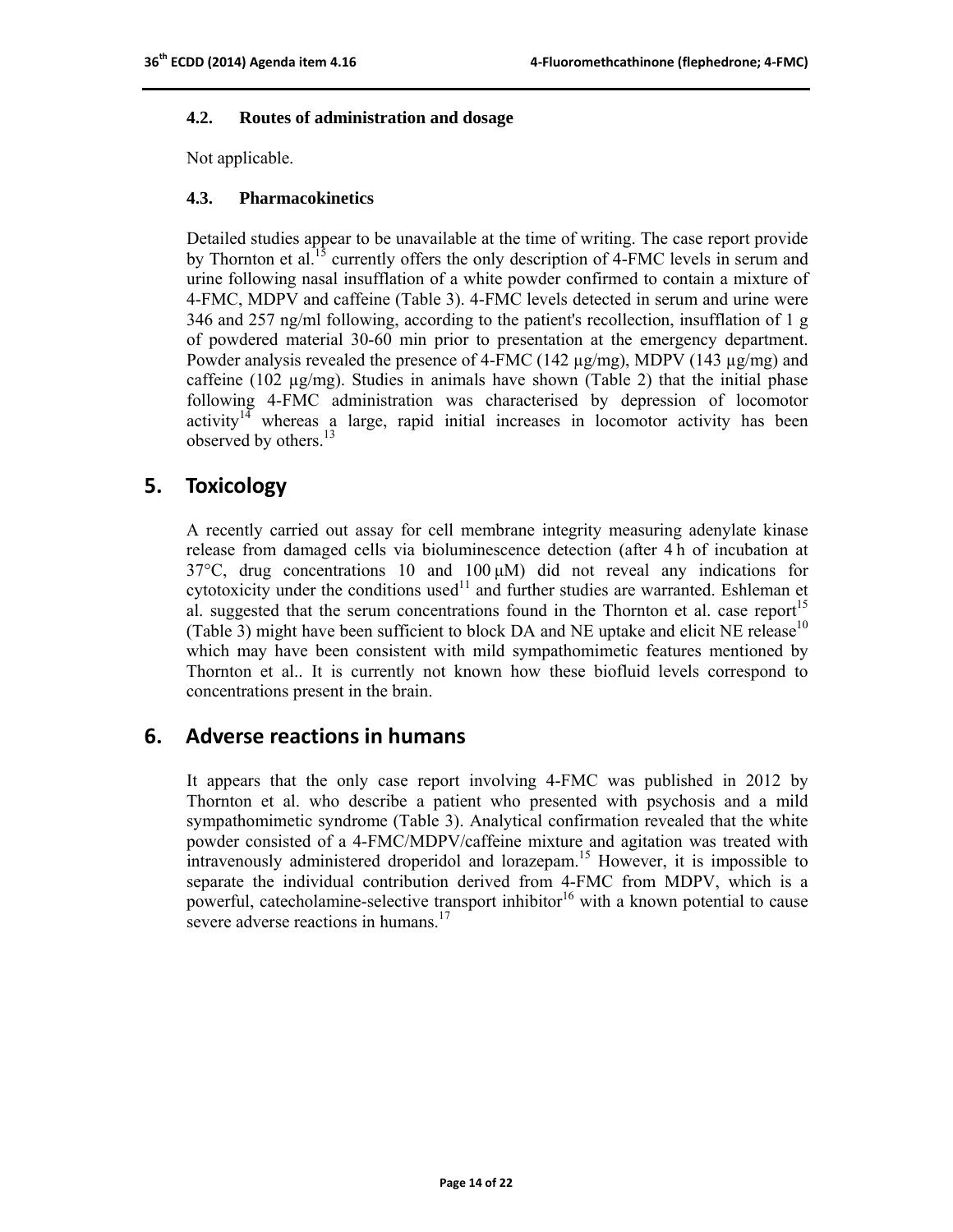#### **4.2. Routes of administration and dosage**

Not applicable.

#### **4.3. Pharmacokinetics**

Detailed studies appear to be unavailable at the time of writing. The case report provide by Thornton et al.<sup>15</sup> currently offers the only description of 4-FMC levels in serum and urine following nasal insufflation of a white powder confirmed to contain a mixture of 4-FMC, MDPV and caffeine (Table 3). 4-FMC levels detected in serum and urine were 346 and 257 ng/ml following, according to the patient's recollection, insufflation of 1 g of powdered material 30-60 min prior to presentation at the emergency department. Powder analysis revealed the presence of 4-FMC (142  $\mu$ g/mg), MDPV (143  $\mu$ g/mg) and caffeine (102  $\mu$ g/mg). Studies in animals have shown (Table 2) that the initial phase following 4-FMC administration was characterised by depression of locomotor activity<sup>14</sup> whereas a large, rapid initial increases in locomotor activity has been observed by others.<sup>13</sup>

## **5. Toxicology**

A recently carried out assay for cell membrane integrity measuring adenylate kinase release from damaged cells via bioluminescence detection (after 4 h of incubation at  $37^{\circ}$ C, drug concentrations 10 and 100  $\mu$ M) did not reveal any indications for cytotoxicity under the conditions used<sup>11</sup> and further studies are warranted. Eshleman et al. suggested that the serum concentrations found in the Thornton et al. case report $1<sup>5</sup>$ (Table 3) might have been sufficient to block DA and NE uptake and elicit NE release $10$ which may have been consistent with mild sympathomimetic features mentioned by Thornton et al.. It is currently not known how these biofluid levels correspond to concentrations present in the brain.

## **6. Adverse reactions in humans**

It appears that the only case report involving 4-FMC was published in 2012 by Thornton et al. who describe a patient who presented with psychosis and a mild sympathomimetic syndrome (Table 3). Analytical confirmation revealed that the white powder consisted of a 4-FMC/MDPV/caffeine mixture and agitation was treated with intravenously administered droperidol and lorazepam.<sup>15</sup> However, it is impossible to separate the individual contribution derived from 4-FMC from MDPV, which is a powerful, catecholamine-selective transport inhibitor<sup>16</sup> with a known potential to cause severe adverse reactions in humans.<sup>17</sup>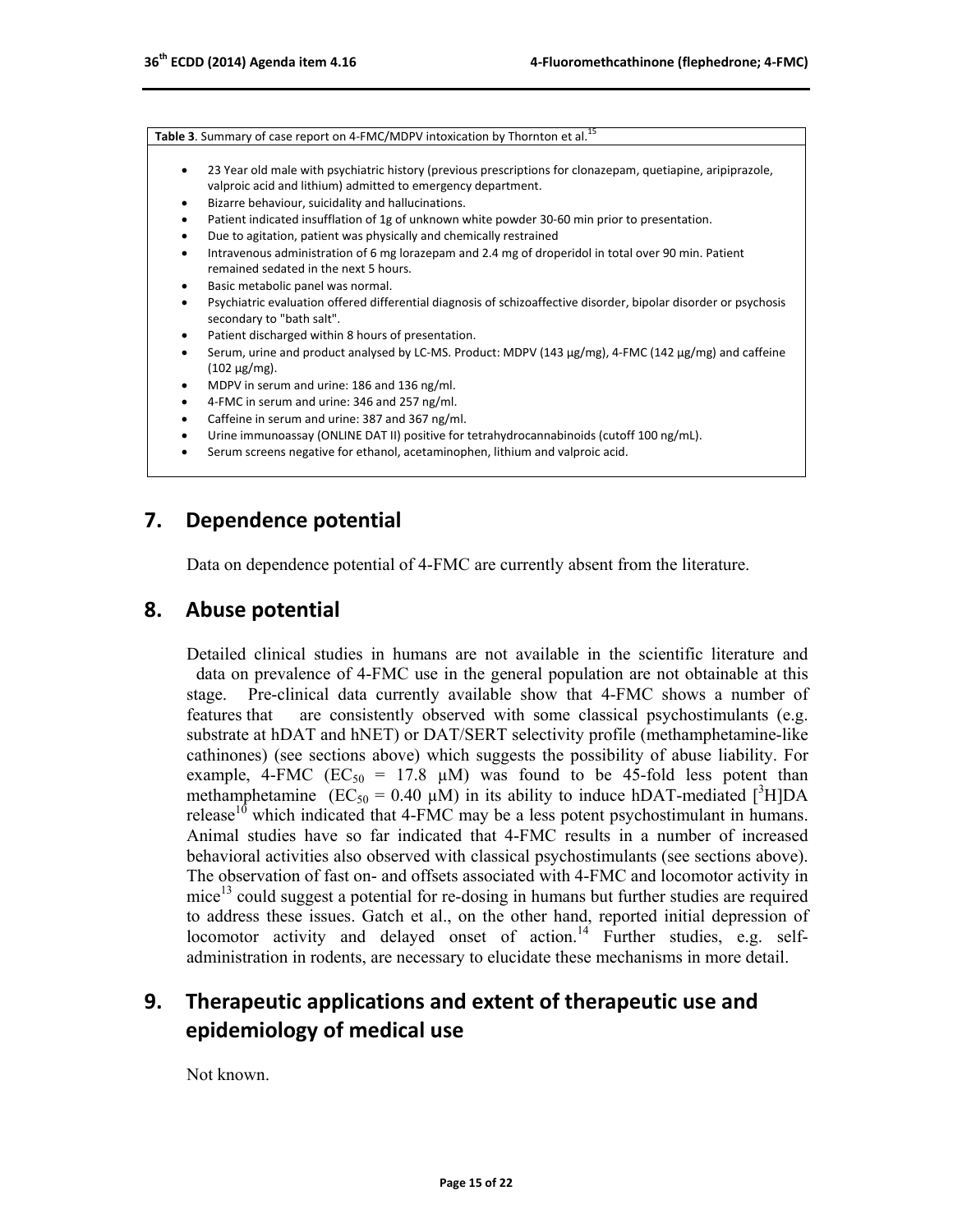**Table 3.** Summary of case report on 4-FMC/MDPV intoxication by Thornton et al.<sup>15</sup>

- 23 Year old male with psychiatric history (previous prescriptions for clonazepam, quetiapine, aripiprazole, valproic acid and lithium) admitted to emergency department.
- Bizarre behaviour, suicidality and hallucinations.
- Patient indicated insufflation of 1g of unknown white powder 30‐60 min prior to presentation.
- Due to agitation, patient was physically and chemically restrained
- Intravenous administration of 6 mg lorazepam and 2.4 mg of droperidol in total over 90 min. Patient remained sedated in the next 5 hours.
- Basic metabolic panel was normal.
- Psychiatric evaluation offered differential diagnosis of schizoaffective disorder, bipolar disorder or psychosis secondary to "bath salt".
- Patient discharged within 8 hours of presentation.
- Serum, urine and product analysed by LC-MS. Product: MDPV (143 µg/mg), 4-FMC (142 µg/mg) and caffeine  $(102 \,\mu g/mg)$ .
- MDPV in serum and urine: 186 and 136 ng/ml.
- 4‐FMC in serum and urine: 346 and 257 ng/ml.
- Caffeine in serum and urine: 387 and 367 ng/ml.
- Urine immunoassay (ONLINE DAT II) positive for tetrahydrocannabinoids (cutoff 100 ng/mL).
- Serum screens negative for ethanol, acetaminophen, lithium and valproic acid.

## **7. Dependence potential**

Data on dependence potential of 4-FMC are currently absent from the literature.

## **8. Abuse potential**

Detailed clinical studies in humans are not available in the scientific literature and data on prevalence of 4-FMC use in the general population are not obtainable at this stage. Pre-clinical data currently available show that 4-FMC shows a number of features that are consistently observed with some classical psychostimulants (e.g. substrate at hDAT and hNET) or DAT/SERT selectivity profile (methamphetamine-like cathinones) (see sections above) which suggests the possibility of abuse liability. For example, 4-FMC ( $EC_{50} = 17.8$   $\mu$ M) was found to be 45-fold less potent than methamphetamine  $(EC_{50} = 0.40 \mu M)$  in its ability to induce hDAT-mediated [<sup>3</sup>H]DA release<sup>10</sup> which indicated that 4-FMC may be a less potent psychostimulant in humans. Animal studies have so far indicated that 4-FMC results in a number of increased behavioral activities also observed with classical psychostimulants (see sections above). The observation of fast on- and offsets associated with 4-FMC and locomotor activity in mice<sup>13</sup> could suggest a potential for re-dosing in humans but further studies are required to address these issues. Gatch et al., on the other hand, reported initial depression of locomotor activity and delayed onset of action.<sup>14</sup> Further studies, e.g. selfadministration in rodents, are necessary to elucidate these mechanisms in more detail.

## **9. Therapeutic applications and extent of therapeutic use and epidemiology of medical use**

Not known.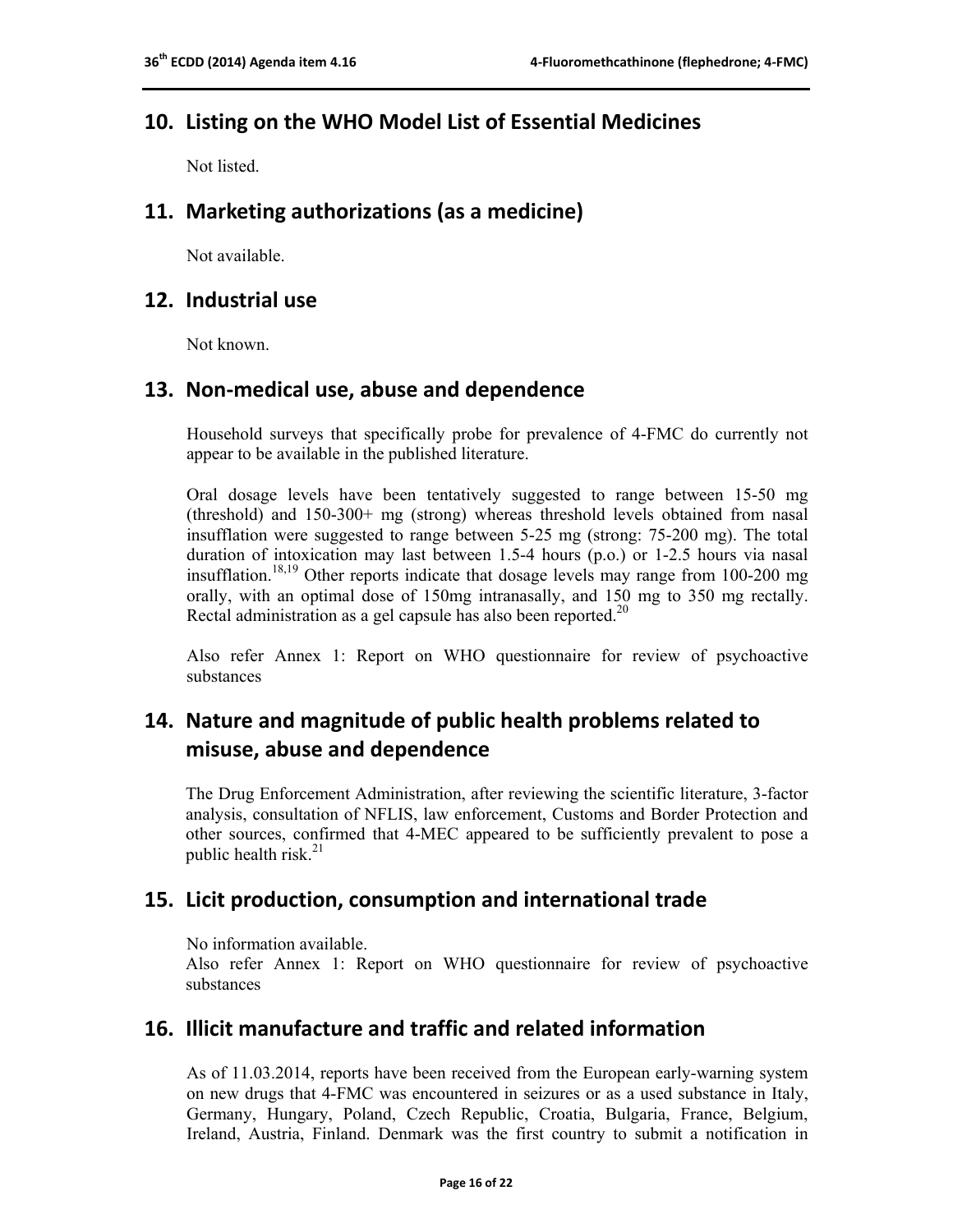## **10. Listing on the WHO Model List of Essential Medicines**

Not listed.

## **11. Marketing authorizations (as a medicine)**

Not available.

## **12. Industrial use**

Not known.

## **13. Non‐medical use, abuse and dependence**

Household surveys that specifically probe for prevalence of 4-FMC do currently not appear to be available in the published literature.

Oral dosage levels have been tentatively suggested to range between 15-50 mg (threshold) and 150-300+ mg (strong) whereas threshold levels obtained from nasal insufflation were suggested to range between 5-25 mg (strong: 75-200 mg). The total duration of intoxication may last between 1.5-4 hours (p.o.) or 1-2.5 hours via nasal insufflation.<sup>18,19</sup> Other reports indicate that dosage levels may range from 100-200 mg orally, with an optimal dose of 150mg intranasally, and 150 mg to 350 mg rectally. Rectal administration as a gel capsule has also been reported.<sup>20</sup>

Also refer Annex 1: Report on WHO questionnaire for review of psychoactive substances

## **14. Nature and magnitude of public health problems related to misuse, abuse and dependence**

The Drug Enforcement Administration, after reviewing the scientific literature, 3-factor analysis, consultation of NFLIS, law enforcement, Customs and Border Protection and other sources, confirmed that 4-MEC appeared to be sufficiently prevalent to pose a public health risk. $^{21}$ 

## **15. Licit production, consumption and international trade**

No information available.

Also refer Annex 1: Report on WHO questionnaire for review of psychoactive substances

## **16. Illicit manufacture and traffic and related information**

As of 11.03.2014, reports have been received from the European early-warning system on new drugs that 4-FMC was encountered in seizures or as a used substance in Italy, Germany, Hungary, Poland, Czech Republic, Croatia, Bulgaria, France, Belgium, Ireland, Austria, Finland. Denmark was the first country to submit a notification in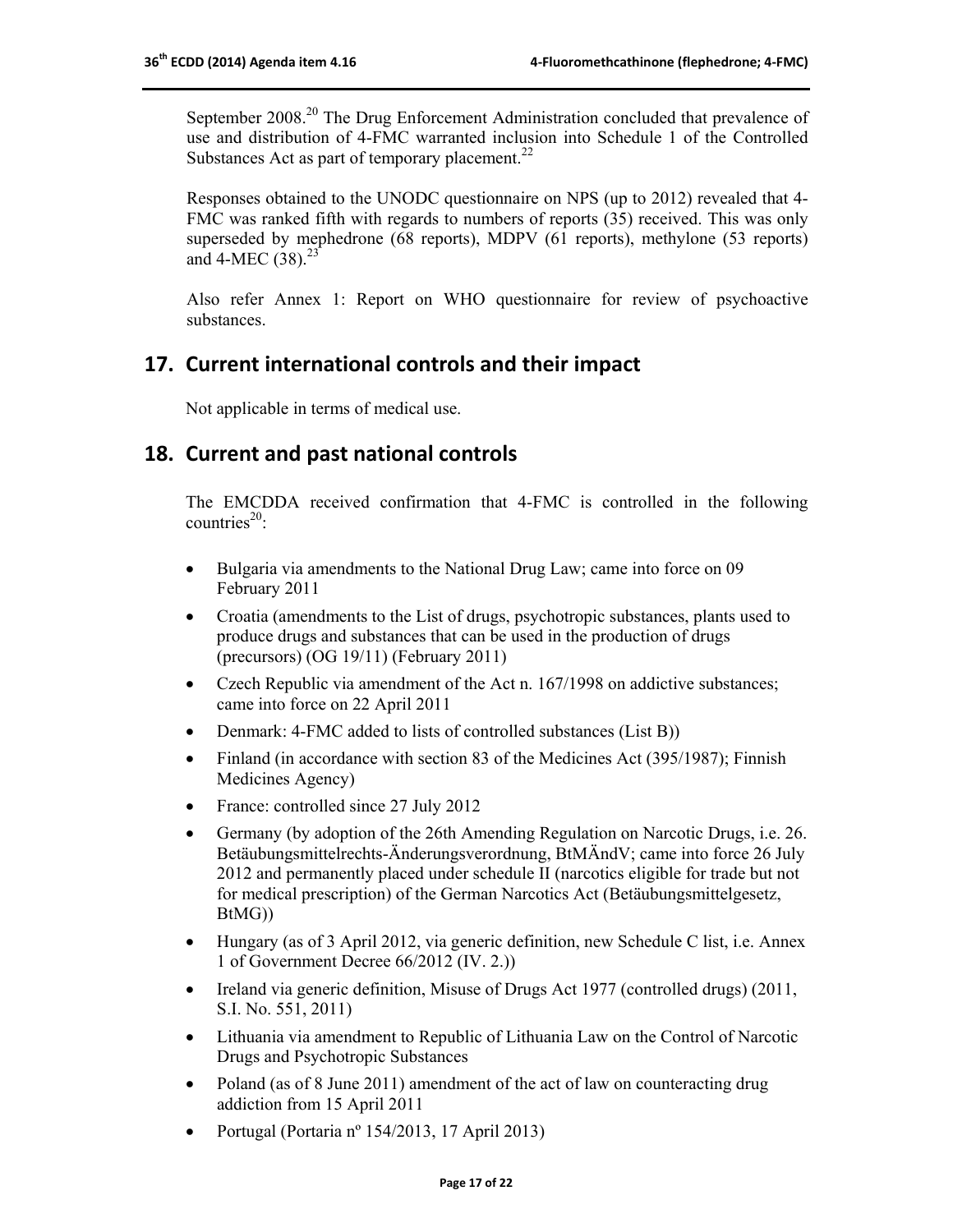September 2008<sup>20</sup> The Drug Enforcement Administration concluded that prevalence of use and distribution of 4-FMC warranted inclusion into Schedule 1 of the Controlled Substances Act as part of temporary placement. $^{22}$ 

Responses obtained to the UNODC questionnaire on NPS (up to 2012) revealed that 4- FMC was ranked fifth with regards to numbers of reports (35) received. This was only superseded by mephedrone (68 reports), MDPV (61 reports), methylone (53 reports) and 4-MEC  $(38)$ <sup>23</sup>

Also refer Annex 1: Report on WHO questionnaire for review of psychoactive substances.

## **17. Current international controls and their impact**

Not applicable in terms of medical use.

## **18. Current and past national controls**

The EMCDDA received confirmation that 4-FMC is controlled in the following  $countries<sup>20</sup>$ .

- Bulgaria via amendments to the National Drug Law; came into force on 09 February 2011
- Croatia (amendments to the List of drugs, psychotropic substances, plants used to produce drugs and substances that can be used in the production of drugs (precursors) (OG 19/11) (February 2011)
- Czech Republic via amendment of the Act n. 167/1998 on addictive substances; came into force on 22 April 2011
- Denmark: 4-FMC added to lists of controlled substances (List B))
- Finland (in accordance with section 83 of the Medicines Act (395/1987); Finnish Medicines Agency)
- France: controlled since 27 July 2012
- Germany (by adoption of the 26th Amending Regulation on Narcotic Drugs, i.e. 26. Betäubungsmittelrechts-Änderungsverordnung, BtMÄndV; came into force 26 July 2012 and permanently placed under schedule II (narcotics eligible for trade but not for medical prescription) of the German Narcotics Act (Betäubungsmittelgesetz, BtMG))
- Hungary (as of 3 April 2012, via generic definition, new Schedule C list, i.e. Annex 1 of Government Decree 66/2012 (IV. 2.))
- Ireland via generic definition, Misuse of Drugs Act 1977 (controlled drugs) (2011, S.I. No. 551, 2011)
- Lithuania via amendment to Republic of Lithuania Law on the Control of Narcotic Drugs and Psychotropic Substances
- Poland (as of 8 June 2011) amendment of the act of law on counteracting drug addiction from 15 April 2011
- Portugal (Portaria nº 154/2013, 17 April 2013)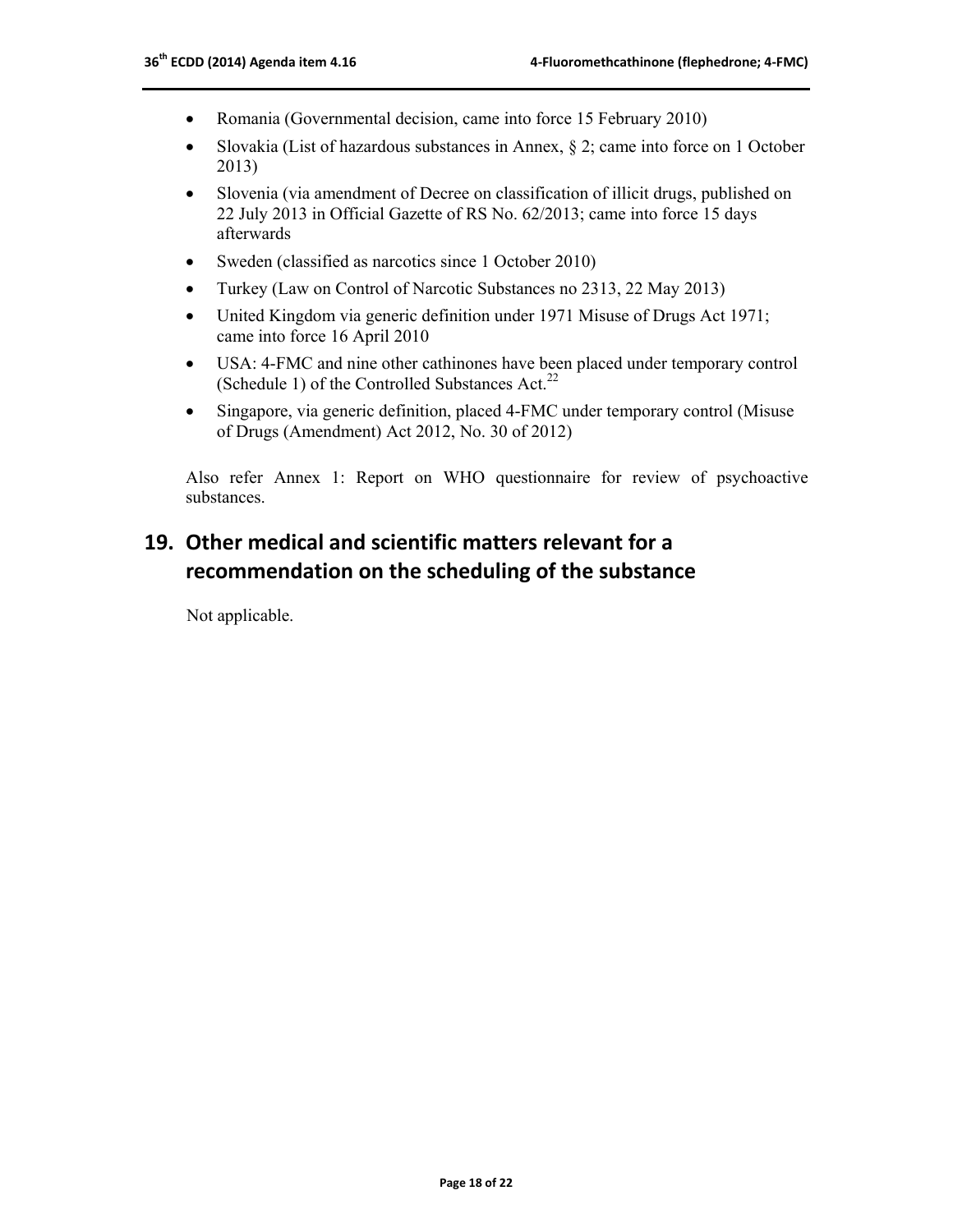- Romania (Governmental decision, came into force 15 February 2010)
- Slovakia (List of hazardous substances in Annex,  $\S$  2; came into force on 1 October 2013)
- Slovenia (via amendment of Decree on classification of illicit drugs, published on 22 July 2013 in Official Gazette of RS No. 62/2013; came into force 15 days afterwards
- Sweden (classified as narcotics since 1 October 2010)
- Turkey (Law on Control of Narcotic Substances no 2313, 22 May 2013)
- United Kingdom via generic definition under 1971 Misuse of Drugs Act 1971; came into force 16 April 2010
- USA: 4-FMC and nine other cathinones have been placed under temporary control (Schedule 1) of the Controlled Substances Act.<sup>22</sup>
- Singapore, via generic definition, placed 4-FMC under temporary control (Misuse of Drugs (Amendment) Act 2012, No. 30 of 2012)

Also refer Annex 1: Report on WHO questionnaire for review of psychoactive substances.

## **19. Other medical and scientific matters relevant for a recommendation on the scheduling of the substance**

Not applicable.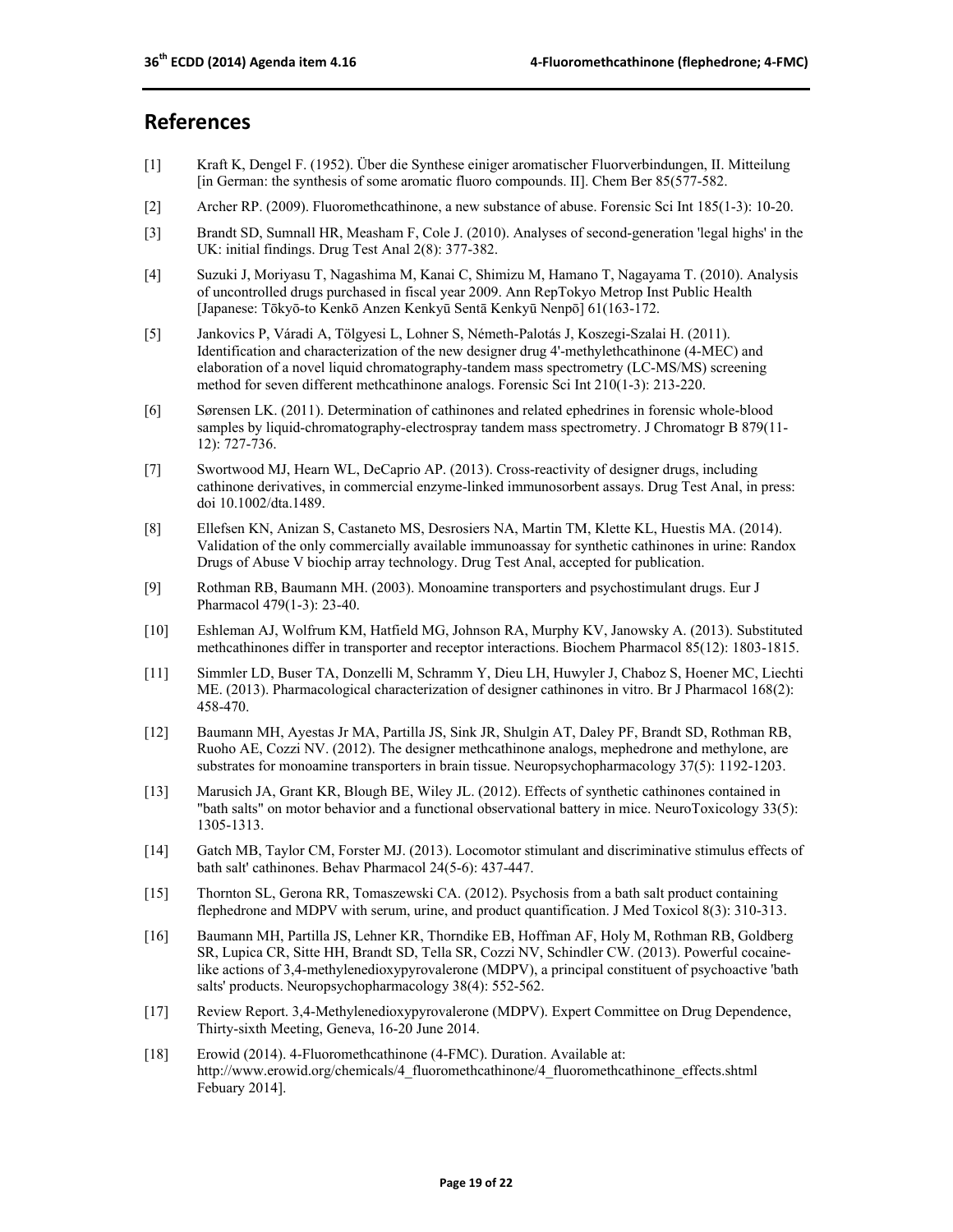## **References**

- [1] Kraft K, Dengel F. (1952). Über die Synthese einiger aromatischer Fluorverbindungen, II. Mitteilung [in German: the synthesis of some aromatic fluoro compounds. II]. Chem Ber 85(577-582.
- [2] Archer RP. (2009). Fluoromethcathinone, a new substance of abuse. Forensic Sci Int 185(1-3): 10-20.
- [3] Brandt SD, Sumnall HR, Measham F, Cole J. (2010). Analyses of second-generation 'legal highs' in the UK: initial findings. Drug Test Anal 2(8): 377-382.
- [4] Suzuki J, Moriyasu T, Nagashima M, Kanai C, Shimizu M, Hamano T, Nagayama T. (2010). Analysis of uncontrolled drugs purchased in fiscal year 2009. Ann RepTokyo Metrop Inst Public Health [Japanese: Tōkyō-to Kenkō Anzen Kenkyū Sentā Kenkyū Nenpō] 61(163-172.
- [5] Jankovics P, Váradi A, Tölgyesi L, Lohner S, Németh-Palotás J, Koszegi-Szalai H. (2011). Identification and characterization of the new designer drug 4'-methylethcathinone (4-MEC) and elaboration of a novel liquid chromatography-tandem mass spectrometry (LC-MS/MS) screening method for seven different methcathinone analogs. Forensic Sci Int 210(1-3): 213-220.
- [6] Sørensen LK. (2011). Determination of cathinones and related ephedrines in forensic whole-blood samples by liquid-chromatography-electrospray tandem mass spectrometry. J Chromatogr B 879(11- 12): 727-736.
- [7] Swortwood MJ, Hearn WL, DeCaprio AP. (2013). Cross-reactivity of designer drugs, including cathinone derivatives, in commercial enzyme-linked immunosorbent assays. Drug Test Anal, in press: doi 10.1002/dta.1489.
- [8] Ellefsen KN, Anizan S, Castaneto MS, Desrosiers NA, Martin TM, Klette KL, Huestis MA. (2014). Validation of the only commercially available immunoassay for synthetic cathinones in urine: Randox Drugs of Abuse V biochip array technology. Drug Test Anal, accepted for publication.
- [9] Rothman RB, Baumann MH. (2003). Monoamine transporters and psychostimulant drugs. Eur J Pharmacol 479(1-3): 23-40.
- [10] Eshleman AJ, Wolfrum KM, Hatfield MG, Johnson RA, Murphy KV, Janowsky A. (2013). Substituted methcathinones differ in transporter and receptor interactions. Biochem Pharmacol 85(12): 1803-1815.
- [11] Simmler LD, Buser TA, Donzelli M, Schramm Y, Dieu LH, Huwyler J, Chaboz S, Hoener MC, Liechti ME. (2013). Pharmacological characterization of designer cathinones in vitro. Br J Pharmacol 168(2): 458-470.
- [12] Baumann MH, Ayestas Jr MA, Partilla JS, Sink JR, Shulgin AT, Daley PF, Brandt SD, Rothman RB, Ruoho AE, Cozzi NV. (2012). The designer methcathinone analogs, mephedrone and methylone, are substrates for monoamine transporters in brain tissue. Neuropsychopharmacology 37(5): 1192-1203.
- [13] Marusich JA, Grant KR, Blough BE, Wiley JL. (2012). Effects of synthetic cathinones contained in "bath salts" on motor behavior and a functional observational battery in mice. NeuroToxicology 33(5): 1305-1313.
- [14] Gatch MB, Taylor CM, Forster MJ. (2013). Locomotor stimulant and discriminative stimulus effects of bath salt' cathinones. Behav Pharmacol 24(5-6): 437-447.
- [15] Thornton SL, Gerona RR, Tomaszewski CA. (2012). Psychosis from a bath salt product containing flephedrone and MDPV with serum, urine, and product quantification. J Med Toxicol 8(3): 310-313.
- [16] Baumann MH, Partilla JS, Lehner KR, Thorndike EB, Hoffman AF, Holy M, Rothman RB, Goldberg SR, Lupica CR, Sitte HH, Brandt SD, Tella SR, Cozzi NV, Schindler CW. (2013). Powerful cocainelike actions of 3,4-methylenedioxypyrovalerone (MDPV), a principal constituent of psychoactive 'bath salts' products. Neuropsychopharmacology 38(4): 552-562.
- [17] Review Report. 3,4-Methylenedioxypyrovalerone (MDPV). Expert Committee on Drug Dependence, Thirty-sixth Meeting, Geneva, 16-20 June 2014.
- [18] Erowid (2014). 4-Fluoromethcathinone (4-FMC). Duration. Available at: http://www.erowid.org/chemicals/4\_fluoromethcathinone/4\_fluoromethcathinone\_effects.shtml Febuary 2014].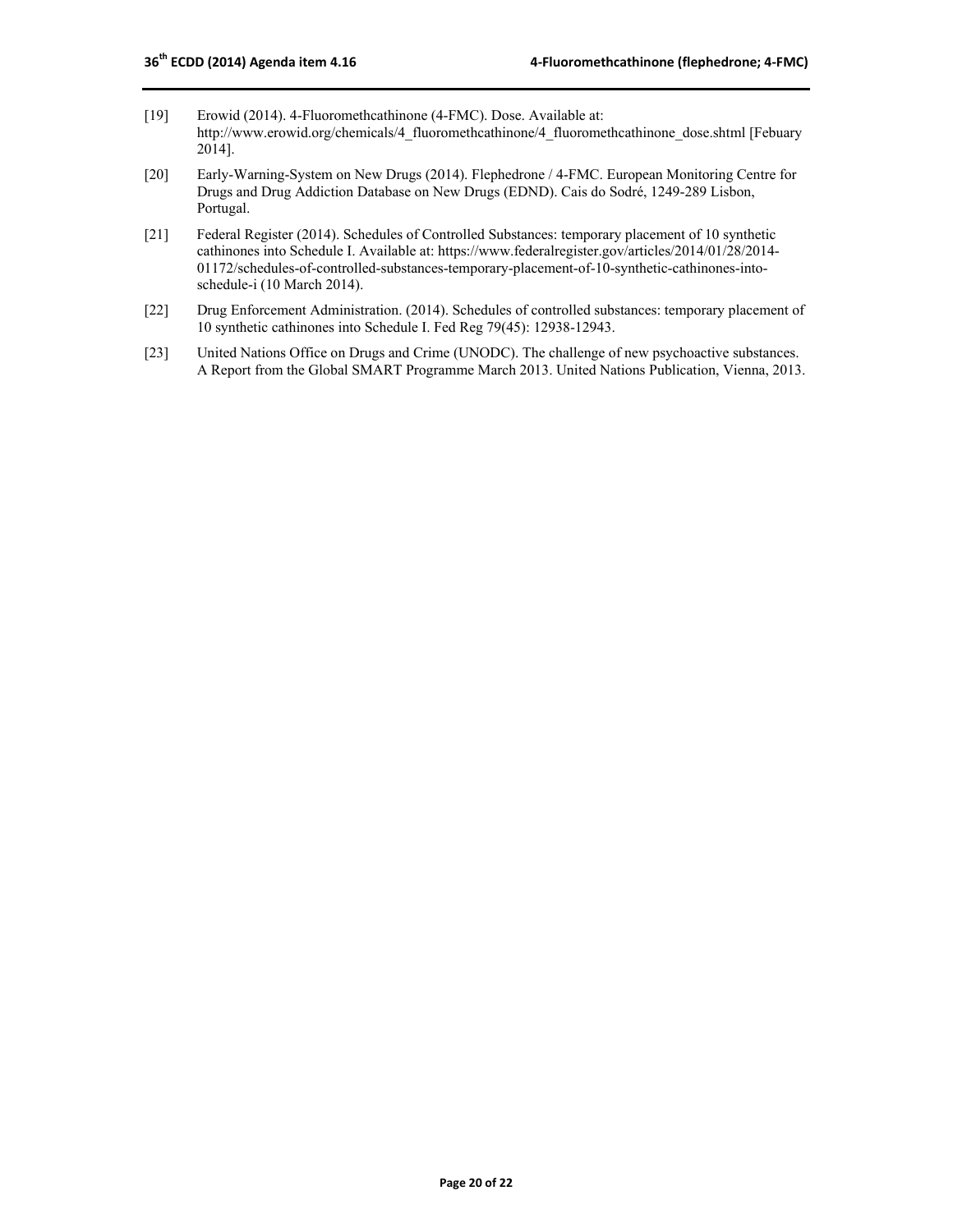- [19] Erowid (2014). 4-Fluoromethcathinone (4-FMC). Dose. Available at: http://www.erowid.org/chemicals/4\_fluoromethcathinone/4\_fluoromethcathinone\_dose.shtml [Febuary 2014].
- [20] Early-Warning-System on New Drugs (2014). Flephedrone / 4-FMC. European Monitoring Centre for Drugs and Drug Addiction Database on New Drugs (EDND). Cais do Sodré, 1249-289 Lisbon, Portugal.
- [21] Federal Register (2014). Schedules of Controlled Substances: temporary placement of 10 synthetic cathinones into Schedule I. Available at: https://www.federalregister.gov/articles/2014/01/28/2014- 01172/schedules-of-controlled-substances-temporary-placement-of-10-synthetic-cathinones-intoschedule-i (10 March 2014).
- [22] Drug Enforcement Administration. (2014). Schedules of controlled substances: temporary placement of 10 synthetic cathinones into Schedule I. Fed Reg 79(45): 12938-12943.
- [23] United Nations Office on Drugs and Crime (UNODC). The challenge of new psychoactive substances. A Report from the Global SMART Programme March 2013. United Nations Publication, Vienna, 2013.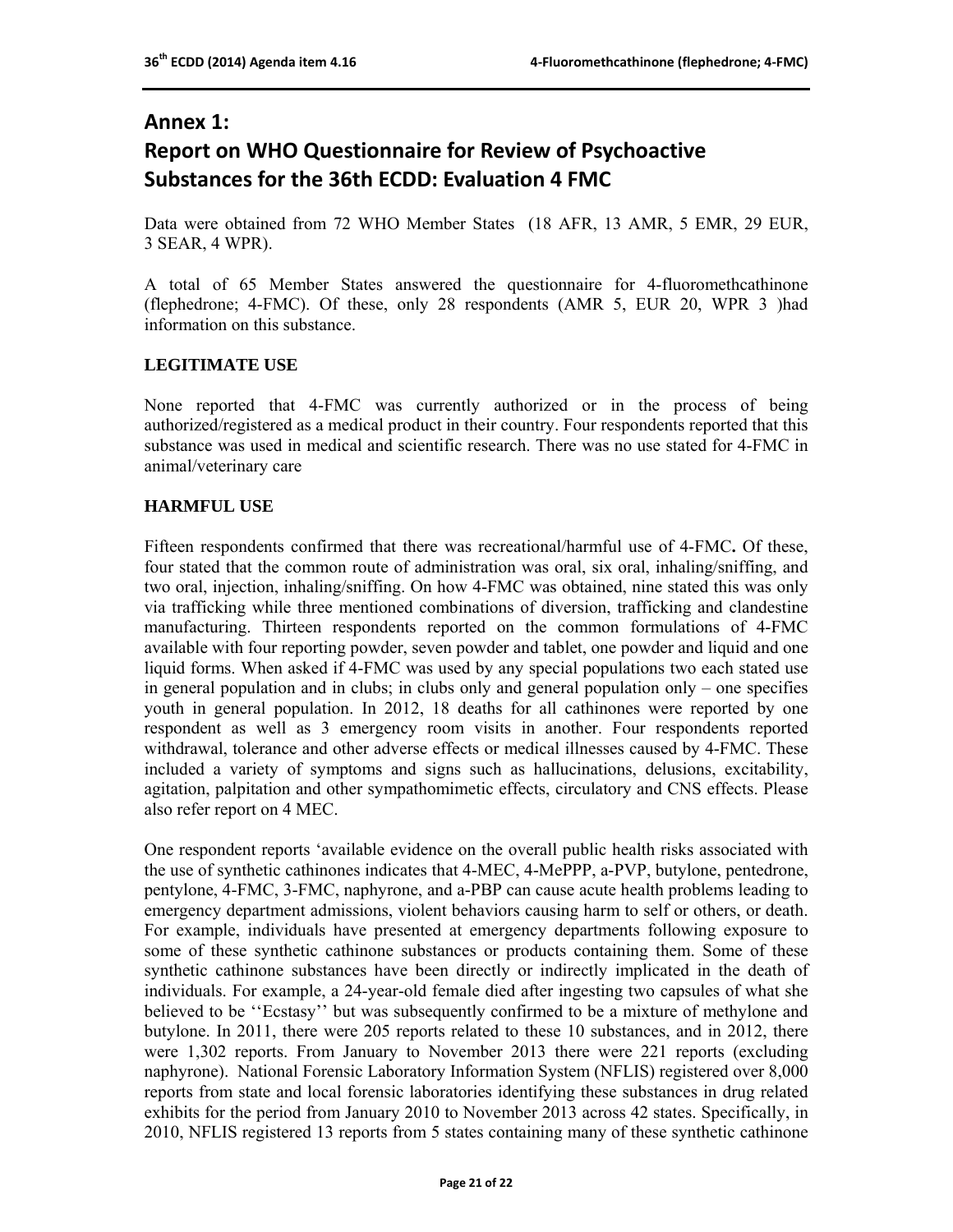## **Annex 1: Report on WHO Questionnaire for Review of Psychoactive Substances for the 36th ECDD: Evaluation 4 FMC**

Data were obtained from 72 WHO Member States (18 AFR, 13 AMR, 5 EMR, 29 EUR, 3 SEAR, 4 WPR).

A total of 65 Member States answered the questionnaire for 4-fluoromethcathinone (flephedrone; 4-FMC). Of these, only 28 respondents (AMR 5, EUR 20, WPR 3 )had information on this substance.

#### **LEGITIMATE USE**

None reported that 4-FMC was currently authorized or in the process of being authorized/registered as a medical product in their country. Four respondents reported that this substance was used in medical and scientific research. There was no use stated for 4-FMC in animal/veterinary care

#### **HARMFUL USE**

Fifteen respondents confirmed that there was recreational/harmful use of 4-FMC**.** Of these, four stated that the common route of administration was oral, six oral, inhaling/sniffing, and two oral, injection, inhaling/sniffing. On how 4-FMC was obtained, nine stated this was only via trafficking while three mentioned combinations of diversion, trafficking and clandestine manufacturing. Thirteen respondents reported on the common formulations of 4-FMC available with four reporting powder, seven powder and tablet, one powder and liquid and one liquid forms. When asked if 4-FMC was used by any special populations two each stated use in general population and in clubs; in clubs only and general population only – one specifies youth in general population. In 2012, 18 deaths for all cathinones were reported by one respondent as well as 3 emergency room visits in another. Four respondents reported withdrawal, tolerance and other adverse effects or medical illnesses caused by 4-FMC. These included a variety of symptoms and signs such as hallucinations, delusions, excitability, agitation, palpitation and other sympathomimetic effects, circulatory and CNS effects. Please also refer report on 4 MEC.

One respondent reports 'available evidence on the overall public health risks associated with the use of synthetic cathinones indicates that 4-MEC, 4-MePPP, a-PVP, butylone, pentedrone, pentylone, 4-FMC, 3-FMC, naphyrone, and a-PBP can cause acute health problems leading to emergency department admissions, violent behaviors causing harm to self or others, or death. For example, individuals have presented at emergency departments following exposure to some of these synthetic cathinone substances or products containing them. Some of these synthetic cathinone substances have been directly or indirectly implicated in the death of individuals. For example, a 24-year-old female died after ingesting two capsules of what she believed to be ''Ecstasy'' but was subsequently confirmed to be a mixture of methylone and butylone. In 2011, there were 205 reports related to these 10 substances, and in 2012, there were 1,302 reports. From January to November 2013 there were 221 reports (excluding naphyrone). National Forensic Laboratory Information System (NFLIS) registered over 8,000 reports from state and local forensic laboratories identifying these substances in drug related exhibits for the period from January 2010 to November 2013 across 42 states. Specifically, in 2010, NFLIS registered 13 reports from 5 states containing many of these synthetic cathinone